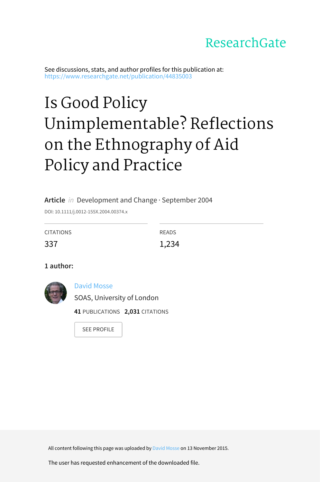# ResearchGate

See discussions, stats, and author profiles for this publication at:<br>[https://www.researchgate.net/publication/44835003](https://www.researchgate.net/publication/44835003_Is_Good_Policy_Unimplementable_Reflections_on_the_Ethnography_of_Aid_Policy_and_Practice?enrichId=rgreq-76f13619c6ac3ce358b5a420cbad09cb-XXX&enrichSource=Y292ZXJQYWdlOzQ0ODM1MDAzO0FTOjI5NTIzNTY4MzkzMDExM0AxNDQ3NDAxMDgwNTk5&el=1_x_2&_esc=publicationCoverPdf)

# Is Good Policy [Unimplementable?](https://www.researchgate.net/publication/44835003_Is_Good_Policy_Unimplementable_Reflections_on_the_Ethnography_of_Aid_Policy_and_Practice?enrichId=rgreq-76f13619c6ac3ce358b5a420cbad09cb-XXX&enrichSource=Y292ZXJQYWdlOzQ0ODM1MDAzO0FTOjI5NTIzNTY4MzkzMDExM0AxNDQ3NDAxMDgwNTk5&el=1_x_3&_esc=publicationCoverPdf) Reflections on the Ethnography of Aid Policy and Practice

**Article** in Development and Change · September 2004

DOI: 10.1111/j.0012-155X.2004.00374.x

| <b>CITATIONS</b> | READS |
|------------------|-------|
| 337              | 1,234 |

#### **1 author:**



David [Mosse](https://www.researchgate.net/profile/David_Mosse?enrichId=rgreq-76f13619c6ac3ce358b5a420cbad09cb-XXX&enrichSource=Y292ZXJQYWdlOzQ0ODM1MDAzO0FTOjI5NTIzNTY4MzkzMDExM0AxNDQ3NDAxMDgwNTk5&el=1_x_5&_esc=publicationCoverPdf)

SOAS, [University](https://www.researchgate.net/institution/SOAS_University_of_London?enrichId=rgreq-76f13619c6ac3ce358b5a420cbad09cb-XXX&enrichSource=Y292ZXJQYWdlOzQ0ODM1MDAzO0FTOjI5NTIzNTY4MzkzMDExM0AxNDQ3NDAxMDgwNTk5&el=1_x_6&_esc=publicationCoverPdf) of London

**41** PUBLICATIONS **2,031** CITATIONS

SEE [PROFILE](https://www.researchgate.net/profile/David_Mosse?enrichId=rgreq-76f13619c6ac3ce358b5a420cbad09cb-XXX&enrichSource=Y292ZXJQYWdlOzQ0ODM1MDAzO0FTOjI5NTIzNTY4MzkzMDExM0AxNDQ3NDAxMDgwNTk5&el=1_x_7&_esc=publicationCoverPdf)

All content following this page was uploaded by David [Mosse](https://www.researchgate.net/profile/David_Mosse?enrichId=rgreq-76f13619c6ac3ce358b5a420cbad09cb-XXX&enrichSource=Y292ZXJQYWdlOzQ0ODM1MDAzO0FTOjI5NTIzNTY4MzkzMDExM0AxNDQ3NDAxMDgwNTk5&el=1_x_10&_esc=publicationCoverPdf) on 13 November 2015.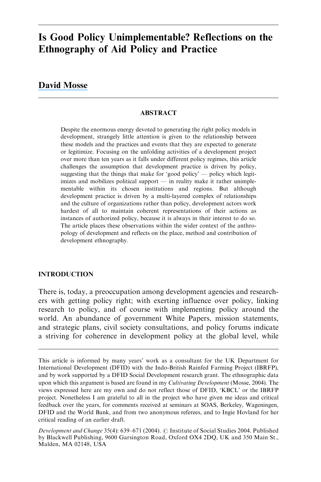### Is Good Policy Unimplementable? Reflections on the Ethnography of Aid Policy and Practice

#### [David Mosse](https://www.researchgate.net/profile/David_Mosse?el=1_x_100&enrichId=rgreq-76f13619c6ac3ce358b5a420cbad09cb-XXX&enrichSource=Y292ZXJQYWdlOzQ0ODM1MDAzO0FTOjI5NTIzNTY4MzkzMDExM0AxNDQ3NDAxMDgwNTk5)

#### **ABSTRACT**

Despite the enormous energy devoted to generating the right policy models in development, strangely little attention is given to the relationship between these models and the practices and events that they are expected to generate or legitimize. Focusing on the unfolding activities of a development project over more than ten years as it falls under different policy regimes, this article challenges the assumption that development practice is driven by policy, suggesting that the things that make for 'good policy' — policy which legitimizes and mobilizes political support — in reality make it rather unimplementable within its chosen institutions and regions. But although development practice is driven by a multi-layered complex of relationships and the culture of organizations rather than policy, development actors work hardest of all to maintain coherent representations of their actions as instances of authorized policy, because it is always in their interest to do so. The article places these observations within the wider context of the anthropology of development and reflects on the place, method and contribution of development ethnography.

#### INTRODUCTION

There is, today, a preoccupation among development agencies and researchers with getting policy right; with exerting influence over policy, linking research to policy, and of course with implementing policy around the world. An abundance of government White Papers, mission statements, and strategic plans, civil society consultations, and policy forums indicate a striving for coherence in development policy at the global level, while

This article is informed by many years' work as a consultant for the UK Department for International Development (DFID) with the Indo-British Rainfed Farming Project (IBRFP), and by work supported by a DFID Social Development research grant. The ethnographic data upon which this argument is based are found in my *Cultivating Development* (Mosse, 2004). The views expressed here are my own and do not reflect those of DFID, 'KBCL' or the IBRFP project. Nonetheless I am grateful to all in the project who have given me ideas and critical feedback over the years, for comments received at seminars at SOAS, Berkeley, Wageningen, DFID and the World Bank, and from two anonymous referees, and to Ingie Hovland for her critical reading of an earlier draft.

Development and Change 35(4): 639–671 (2004).  $\odot$  Institute of Social Studies 2004. Published by Blackwell Publishing, 9600 Garsington Road, Oxford OX4 2DQ, UK and 350 Main St., Malden, MA 02148, USA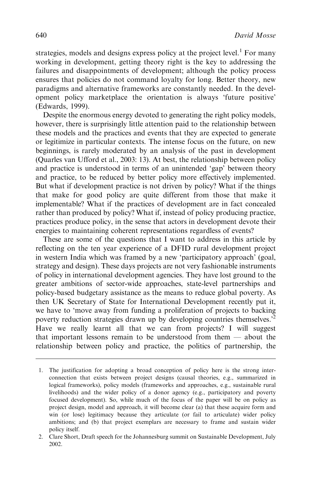strategies, models and designs express policy at the project level.<sup>1</sup> For many working in development, getting theory right is the key to addressing the failures and disappointments of development; although the policy process ensures that policies do not command loyalty for long. Better theory, new paradigms and alternative frameworks are constantly needed. In the development policy marketplace the orientation is always 'future positive' (Edwards, 1999).

Despite the enormous energy devoted to generating the right policy models, however, there is surprisingly little attention paid to the relationship between these models and the practices and events that they are expected to generate or legitimize in particular contexts. The intense focus on the future, on new beginnings, is rarely moderated by an analysis of the past in development (Quarles van Ufford et al., 2003: 13). At best, the relationship between policy and practice is understood in terms of an unintended 'gap' between theory and practice, to be reduced by better policy more effectively implemented. But what if development practice is not driven by policy? What if the things that make for good policy are quite different from those that make it implementable? What if the practices of development are in fact concealed rather than produced by policy? What if, instead of policy producing practice, practices produce policy, in the sense that actors in development devote their energies to maintaining coherent representations regardless of events?

These are some of the questions that I want to address in this article by reflecting on the ten year experience of a DFID rural development project in western India which was framed by a new 'participatory approach' (goal, strategy and design). These days projects are not very fashionable instruments of policy in international development agencies. They have lost ground to the greater ambitions of sector-wide approaches, state-level partnerships and policy-based budgetary assistance as the means to reduce global poverty. As then UK Secretary of State for International Development recently put it, we have to 'move away from funding a proliferation of projects to backing poverty reduction strategies drawn up by developing countries themselves.'2 Have we really learnt all that we can from projects? I will suggest that important lessons remain to be understood from them — about the relationship between policy and practice, the politics of partnership, the

<sup>1.</sup> The justification for adopting a broad conception of policy here is the strong interconnection that exists between project designs (causal theories, e.g., summarized in logical frameworks), policy models (frameworks and approaches, e.g., sustainable rural livelihoods) and the wider policy of a donor agency (e.g., participatory and poverty focused development). So, while much of the focus of the paper will be on policy as project design, model and approach, it will become clear (a) that these acquire form and win (or lose) legitimacy because they articulate (or fail to articulate) wider policy ambitions; and (b) that project exemplars are necessary to frame and sustain wider policy itself.

<sup>2.</sup> Clare Short, Draft speech for the Johannesburg summit on Sustainable Development, July 2002.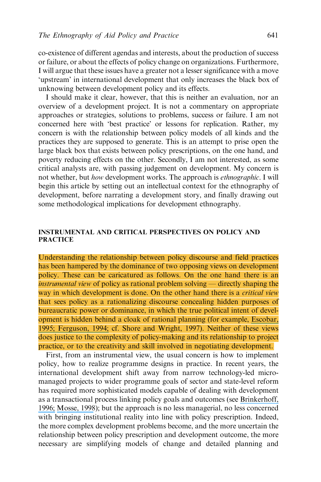co-existence of different agendas and interests, about the production of success or failure, or about the effects of policy change on organizations. Furthermore, I will argue that these issues have a greater not a lesser significance with a move 'upstream' in international development that only increases the black box of unknowing between development policy and its effects.

I should make it clear, however, that this is neither an evaluation, nor an overview of a development project. It is not a commentary on appropriate approaches or strategies, solutions to problems, success or failure. I am not concerned here with 'best practice' or lessons for replication. Rather, my concern is with the relationship between policy models of all kinds and the practices they are supposed to generate. This is an attempt to prise open the large black box that exists between policy prescriptions, on the one hand, and poverty reducing effects on the other. Secondly, I am not interested, as some critical analysts are, with passing judgement on development. My concern is not whether, but how development works. The approach is *ethnographic*. I will begin this article by setting out an intellectual context for the ethnography of development, before narrating a development story, and finally drawing out some methodological implications for development ethnography.

#### INSTRUMENTAL AND CRITICAL PERSPECTIVES ON POLICY AND **PRACTICE**

Understanding the relationship between policy discourse and field practices has been hampered by the dominance of two opposing views on development policy. These can be caricatured as follows. On the one hand there is an instrumental view of policy as rational problem solving — directly shaping the way in which development is done. On the other hand there is a *critical view* that sees policy as a rationalizing discourse concealing hidden purposes of bureaucratic power or dominance, in which the true political intent of development is hidden behind a cloak of rational planning (for example, [Escobar,](https://www.researchgate.net/publication/272925235_Encountering_Development_The_Making_and_Unmaking_of_the_Third_World?el=1_x_8&enrichId=rgreq-76f13619c6ac3ce358b5a420cbad09cb-XXX&enrichSource=Y292ZXJQYWdlOzQ0ODM1MDAzO0FTOjI5NTIzNTY4MzkzMDExM0AxNDQ3NDAxMDgwNTk5) [1995; Ferguson, 1994;](https://www.researchgate.net/publication/272925235_Encountering_Development_The_Making_and_Unmaking_of_the_Third_World?el=1_x_8&enrichId=rgreq-76f13619c6ac3ce358b5a420cbad09cb-XXX&enrichSource=Y292ZXJQYWdlOzQ0ODM1MDAzO0FTOjI5NTIzNTY4MzkzMDExM0AxNDQ3NDAxMDgwNTk5) cf. Shore and Wright, 1997). Neither of these views does justice to the complexity of policy-making and its relationship to project practice, or to the creativity and skill involved in negotiating development.

First, from an instrumental view, the usual concern is how to implement policy, how to realize programme designs in practice. In recent years, the international development shift away from narrow technology-led micromanaged projects to wider programme goals of sector and state-level reform has required more sophisticated models capable of dealing with development as a transactional process linking policy goals and outcomes (see [Brinkerhoff,](https://www.researchgate.net/publication/4979123_Process_perspectives_on_policy_change_Highlighting_implementation?el=1_x_8&enrichId=rgreq-76f13619c6ac3ce358b5a420cbad09cb-XXX&enrichSource=Y292ZXJQYWdlOzQ0ODM1MDAzO0FTOjI5NTIzNTY4MzkzMDExM0AxNDQ3NDAxMDgwNTk5) [1996;](https://www.researchgate.net/publication/4979123_Process_perspectives_on_policy_change_Highlighting_implementation?el=1_x_8&enrichId=rgreq-76f13619c6ac3ce358b5a420cbad09cb-XXX&enrichSource=Y292ZXJQYWdlOzQ0ODM1MDAzO0FTOjI5NTIzNTY4MzkzMDExM0AxNDQ3NDAxMDgwNTk5) [Mosse, 1998](https://www.researchgate.net/publication/248645614_Process_-_orientated_approaches_to_development_practice_and_social_research?el=1_x_8&enrichId=rgreq-76f13619c6ac3ce358b5a420cbad09cb-XXX&enrichSource=Y292ZXJQYWdlOzQ0ODM1MDAzO0FTOjI5NTIzNTY4MzkzMDExM0AxNDQ3NDAxMDgwNTk5)); but the approach is no less managerial, no less concerned with bringing institutional reality into line with policy prescription. Indeed, the more complex development problems become, and the more uncertain the relationship between policy prescription and development outcome, the more necessary are simplifying models of change and detailed planning and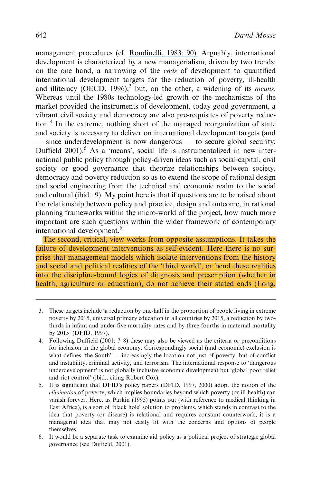management procedures (cf. [Rondinelli, 1983: 90\).](https://www.researchgate.net/publication/37906568_Development_Projects_as_Policy_Experiments_an_Adaptive_Approach_to_Development_Administration?el=1_x_8&enrichId=rgreq-76f13619c6ac3ce358b5a420cbad09cb-XXX&enrichSource=Y292ZXJQYWdlOzQ0ODM1MDAzO0FTOjI5NTIzNTY4MzkzMDExM0AxNDQ3NDAxMDgwNTk5) Arguably, international development is characterized by a new managerialism, driven by two trends: on the one hand, a narrowing of the ends of development to quantified international development targets for the reduction of poverty, ill-health and illiteracy (OECD,  $1996$ );<sup>3</sup> but, on the other, a widening of its *means*. Whereas until the 1980s technology-led growth or the mechanisms of the market provided the instruments of development, today good government, a vibrant civil society and democracy are also pre-requisites of poverty reduction.<sup>4</sup> In the extreme, nothing short of the managed reorganization of state and society is necessary to deliver on international development targets (and — since underdevelopment is now dangerous — to secure global security; Duffield  $2001$ <sup>5</sup>. As a 'means', social life is instrumentalized in new international public policy through policy-driven ideas such as social capital, civil society or good governance that theorize relationships between society, democracy and poverty reduction so as to extend the scope of rational design and social engineering from the technical and economic realm to the social and cultural (ibid.: 9). My point here is that if questions are to be raised about the relationship between policy and practice, design and outcome, in rational planning frameworks within the micro-world of the project, how much more important are such questions within the wider framework of contemporary international development.<sup>6</sup>

The second, critical, view works from opposite assumptions. It takes the failure of development interventions as self-evident. Here there is no surprise that management models which isolate interventions from the history and social and political realities of the 'third world', or bend these realities into the discipline-bound logics of diagnosis and prescription (whether in health, agriculture or education), do not achieve their stated ends (Long,

6. It would be a separate task to examine aid policy as a political project of strategic global governance (see Duffield, 2001).

<sup>3.</sup> These targets include 'a reduction by one-half in the proportion of people living in extreme poverty by 2015, universal primary education in all countries by 2015, a reduction by twothirds in infant and under-five mortality rates and by three-fourths in maternal mortality by 2015' (DFID, 1997).

<sup>4.</sup> Following Duffield (2001: 7–8) these may also be viewed as the criteria or preconditions for inclusion in the global economy. Correspondingly social (and economic) exclusion is what defines 'the South' — increasingly the location not just of poverty, but of conflict and instability, criminal activity, and terrorism. The international response to 'dangerous underdevelopment' is not globally inclusive economic development but 'global poor relief and riot control' (ibid., citing Robert Cox).

<sup>5.</sup> It is significant that DFID's policy papers (DFID, 1997, 2000) adopt the notion of the elimination of poverty, which implies boundaries beyond which poverty (or ill-health) can vanish forever. Here, as Parkin (1995) points out (with reference to medical thinking in East Africa), is a sort of 'black hole' solution to problems, which stands in contrast to the idea that poverty (or disease) is relational and requires constant counterwork; it is a managerial idea that may not easily fit with the concerns and options of people themselves.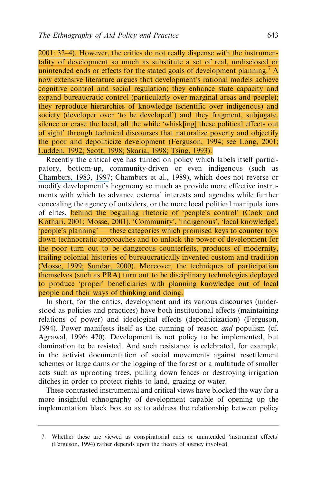2001: 32–4). However, the critics do not really dispense with the instrumentality of development so much as substitute a set of real, undisclosed or unintended ends or effects for the stated goals of development planning.<sup>7</sup> A now extensive literature argues that development's rational models achieve cognitive control and social regulation; they enhance state capacity and expand bureaucratic control (particularly over marginal areas and people); they reproduce hierarchies of knowledge (scientific over indigenous) and society (developer over 'to be developed') and they fragment, subjugate, silence or erase the local, all the while 'whisk[ing] these political effects out of sight' through technical discourses that naturalize poverty and objectify the poor and depoliticize development (Ferguson, 1994; see Long, 2001; [Ludden, 1992;](https://www.researchgate.net/publication/312913190_India) [Scott, 1998;](https://www.researchgate.net/publication/200507837_Seeing_Like_A_State_How_Certain_Schemes_to_Improve_the_Human_Condition_Have_Failed?el=1_x_8&enrichId=rgreq-76f13619c6ac3ce358b5a420cbad09cb-XXX&enrichSource=Y292ZXJQYWdlOzQ0ODM1MDAzO0FTOjI5NTIzNTY4MzkzMDExM0AxNDQ3NDAxMDgwNTk5) [Skaria, 1998;](https://www.researchgate.net/publication/249214912_Hybrid_Histories_Forests_Frontiers_and_Wildness_in_Western_India?el=1_x_8&enrichId=rgreq-76f13619c6ac3ce358b5a420cbad09cb-XXX&enrichSource=Y292ZXJQYWdlOzQ0ODM1MDAzO0FTOjI5NTIzNTY4MzkzMDExM0AxNDQ3NDAxMDgwNTk5) [Tsing, 1993](https://www.researchgate.net/publication/282003885_In_the_Realm_of_the_Diamond_Queen?el=1_x_8&enrichId=rgreq-76f13619c6ac3ce358b5a420cbad09cb-XXX&enrichSource=Y292ZXJQYWdlOzQ0ODM1MDAzO0FTOjI5NTIzNTY4MzkzMDExM0AxNDQ3NDAxMDgwNTk5)).

Recently the critical eye has turned on policy which labels itself participatory, bottom-up, community-driven or even indigenous (such as [Chambers, 1983](https://www.researchgate.net/publication/44824480_Whose_Reality_Counts_Putting_First_Last?el=1_x_8&enrichId=rgreq-76f13619c6ac3ce358b5a420cbad09cb-XXX&enrichSource=Y292ZXJQYWdlOzQ0ODM1MDAzO0FTOjI5NTIzNTY4MzkzMDExM0AxNDQ3NDAxMDgwNTk5), [1997](https://www.researchgate.net/publication/44824480_Whose_Reality_Counts_Putting_First_Last?el=1_x_8&enrichId=rgreq-76f13619c6ac3ce358b5a420cbad09cb-XXX&enrichSource=Y292ZXJQYWdlOzQ0ODM1MDAzO0FTOjI5NTIzNTY4MzkzMDExM0AxNDQ3NDAxMDgwNTk5); Chambers et al., 1989), which does not reverse or modify development's hegemony so much as provide more effective instruments with which to advance external interests and agendas while further concealing the agency of outsiders, or the more local political manipulations of elites, behind the beguiling rhetoric of 'people's control' (Cook and Kothari, 2001; Mosse, 2001). 'Community', 'indigenous', 'local knowledge', 'people's planning' — these categories which promised keys to counter topdown technocratic approaches and to unlock the power of development for the poor turn out to be dangerous counterfeits, products of modernity, trailing colonial histories of bureaucratically invented custom and tradition ([Mosse, 1999;](https://www.researchgate.net/publication/51744108_Colonial_and_Contemporary_Ideologies_of_) [Sundar, 2000](https://www.researchgate.net/publication/229560312_Unpacking_the_)). Moreover, the techniques of participation themselves (such as PRA) turn out to be disciplinary technologies deployed to produce 'proper' beneficiaries with planning knowledge out of local people and their ways of thinking and doing.

In short, for the critics, development and its various discourses (understood as policies and practices) have both institutional effects (maintaining relations of power) and ideological effects (depoliticization) (Ferguson, 1994). Power manifests itself as the cunning of reason and populism (cf. Agrawal, 1996: 470). Development is not policy to be implemented, but domination to be resisted. And such resistance is celebrated, for example, in the activist documentation of social movements against resettlement schemes or large dams or the logging of the forest or a multitude of smaller acts such as uprooting trees, pulling down fences or destroying irrigation ditches in order to protect rights to land, grazing or water.

These contrasted instrumental and critical views have blocked the way for a more insightful ethnography of development capable of opening up the implementation black box so as to address the relationship between policy

<sup>7.</sup> Whether these are viewed as conspiratorial ends or unintended 'instrument effects' (Ferguson, 1994) rather depends upon the theory of agency involved.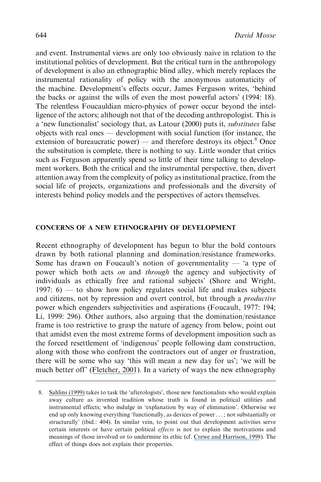and event. Instrumental views are only too obviously naive in relation to the institutional politics of development. But the critical turn in the anthropology of development is also an ethnographic blind alley, which merely replaces the instrumental rationality of policy with the anonymous automaticity of the machine. Development's effects occur, James Ferguson writes, 'behind the backs or against the wills of even the most powerful actors' (1994: 18). The relentless Foucauldian micro-physics of power occur beyond the intelligence of the actors; although not that of the decoding anthropologist. This is a 'new functionalist' sociology that, as Latour (2000) puts it, substitutes false objects with real ones — development with social function (for instance, the extension of bureaucratic power) — and therefore destroys its object.<sup>8</sup> Once the substitution is complete, there is nothing to say. Little wonder that critics such as Ferguson apparently spend so little of their time talking to development workers. Both the critical and the instrumental perspective, then, divert attention away from the complexity of policy as institutional practice, from the social life of projects, organizations and professionals and the diversity of interests behind policy models and the perspectives of actors themselves.

#### CONCERNS OF A NEW ETHNOGRAPHY OF DEVELOPMENT

Recent ethnography of development has begun to blur the bold contours drawn by both rational planning and domination/resistance frameworks. Some has drawn on Foucault's notion of governmentality  $-$  'a type of power which both acts on and through the agency and subjectivity of individuals as ethically free and rational subjects' (Shore and Wright, 1997:  $6$ ) — to show how policy regulates social life and makes subjects and citizens, not by repression and overt control, but through a productive power which engenders subjectivities and aspirations (Foucault, 1977: 194; Li, 1999: 296). Other authors, also arguing that the domination/resistance frame is too restrictive to grasp the nature of agency from below, point out that amidst even the most extreme forms of development imposition such as the forced resettlement of 'indigenous' people following dam construction, along with those who confront the contractors out of anger or frustration, there will be some who say 'this will mean a new day for us'; 'we will be much better off' ([Fletcher, 2001](https://www.researchgate.net/publication/233278535_What_Are_We_Fighting_For_Rethinking_Resistance_in_a_Pewenche_Community_in_Chile?el=1_x_8&enrichId=rgreq-76f13619c6ac3ce358b5a420cbad09cb-XXX&enrichSource=Y292ZXJQYWdlOzQ0ODM1MDAzO0FTOjI5NTIzNTY4MzkzMDExM0AxNDQ3NDAxMDgwNTk5)). In a variety of ways the new ethnography

<sup>8.</sup> [Sahlins \(1999\)](https://www.researchgate.net/publication/272588612_Two_or_Three_Things_That_I_Know_about_Culture?el=1_x_8&enrichId=rgreq-76f13619c6ac3ce358b5a420cbad09cb-XXX&enrichSource=Y292ZXJQYWdlOzQ0ODM1MDAzO0FTOjI5NTIzNTY4MzkzMDExM0AxNDQ3NDAxMDgwNTk5) takes to task the 'afterologists', those new functionalists who would explain away culture as invented tradition whose truth is found in political utilities and instrumental effects; who indulge in 'explanation by way of elimination'. Otherwise we end up only knowing everything 'functionally, as devices of power . . . ; not substantially or structurally' (ibid.: 404). In similar vein, to point out that development activities serve certain interests or have certain political effects is not to explain the motivations and meanings of those involved or to undermine its ethic (cf. [Crewe and Harrison, 1998](https://www.researchgate.net/publication/44824135_Whose_Development_An_Ethnography_of_Aid?el=1_x_8&enrichId=rgreq-76f13619c6ac3ce358b5a420cbad09cb-XXX&enrichSource=Y292ZXJQYWdlOzQ0ODM1MDAzO0FTOjI5NTIzNTY4MzkzMDExM0AxNDQ3NDAxMDgwNTk5)). The effect of things does not explain their properties.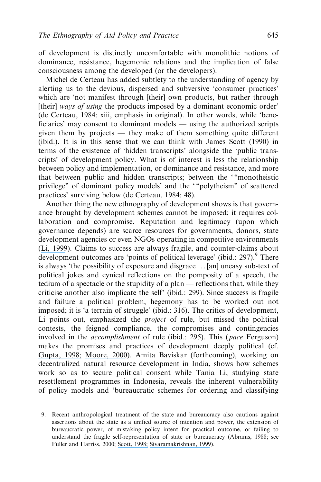of development is distinctly uncomfortable with monolithic notions of dominance, resistance, hegemonic relations and the implication of false consciousness among the developed (or the developers).

Michel de Certeau has added subtlety to the understanding of agency by alerting us to the devious, dispersed and subversive 'consumer practices' which are 'not manifest through [their] own products, but rather through [their] ways of using the products imposed by a dominant economic order' (de Certeau, 1984: xiii, emphasis in original). In other words, while 'beneficiaries' may consent to dominant models — using the authorized scripts given them by projects — they make of them something quite different (ibid.). It is in this sense that we can think with James Scott (1990) in terms of the existence of 'hidden transcripts' alongside the 'public transcripts' of development policy. What is of interest is less the relationship between policy and implementation, or dominance and resistance, and more that between public and hidden transcripts; between the ' ''monotheistic privilege'' of dominant policy models' and the ' ''polytheism'' of scattered practices' surviving below (de Certeau, 1984: 48).

Another thing the new ethnography of development shows is that governance brought by development schemes cannot be imposed; it requires collaboration and compromise. Reputation and legitimacy (upon which governance depends) are scarce resources for governments, donors, state development agencies or even NGOs operating in competitive environments ([Li, 1999](https://www.researchgate.net/publication/249426038_Compromising_PowerDevelopmentCulture_and_Rule_in_Indonesia?el=1_x_8&enrichId=rgreq-76f13619c6ac3ce358b5a420cbad09cb-XXX&enrichSource=Y292ZXJQYWdlOzQ0ODM1MDAzO0FTOjI5NTIzNTY4MzkzMDExM0AxNDQ3NDAxMDgwNTk5)). Claims to success are always fragile, and counter-claims about development outcomes are 'points of political leverage' (ibid.: 297).<sup>9</sup> There is always 'the possibility of exposure and disgrace . . . [an] uneasy sub-text of political jokes and cynical reflections on the pomposity of a speech, the tedium of a spectacle or the stupidity of a plan — reflections that, while they criticise another also implicate the self' (ibid.: 299). Since success is fragile and failure a political problem, hegemony has to be worked out not imposed; it is 'a terrain of struggle' (ibid.: 316). The critics of development, Li points out, emphasized the *project* of rule, but missed the political contests, the feigned compliance, the compromises and contingencies involved in the accomplishment of rule (ibid.: 295). This ( pace Ferguson) makes the promises and practices of development deeply political (cf. [Gupta, 1998;](https://www.researchgate.net/publication/240592581_Post_Colonial_Developments_Agriculture_in_the_Making_of_Modern_India?el=1_x_8&enrichId=rgreq-76f13619c6ac3ce358b5a420cbad09cb-XXX&enrichSource=Y292ZXJQYWdlOzQ0ODM1MDAzO0FTOjI5NTIzNTY4MzkzMDExM0AxNDQ3NDAxMDgwNTk5) [Moore, 2000](https://www.researchgate.net/publication/249425662_The_Crucible_of_Cultural_Politics_Reworking_Development_in_Zimbabwe)). Amita Baviskar (forthcoming), working on decentralized natural resource development in India, shows how schemes work so as to secure political consent while Tania Li, studying state resettlement programmes in Indonesia, reveals the inherent vulnerability of policy models and 'bureaucratic schemes for ordering and classifying

<sup>9.</sup> Recent anthropological treatment of the state and bureaucracy also cautions against assertions about the state as a unified source of intention and power, the extension of bureaucratic power, of mistaking policy intent for practical outcome, or failing to understand the fragile self-representation of state or bureaucracy (Abrams, 1988; see Fuller and Harriss, 2000; [Scott, 1998;](https://www.researchgate.net/publication/200507837_Seeing_Like_A_State_How_Certain_Schemes_to_Improve_the_Human_Condition_Have_Failed?el=1_x_8&enrichId=rgreq-76f13619c6ac3ce358b5a420cbad09cb-XXX&enrichSource=Y292ZXJQYWdlOzQ0ODM1MDAzO0FTOjI5NTIzNTY4MzkzMDExM0AxNDQ3NDAxMDgwNTk5) [Sivaramakrishnan, 1999](https://www.researchgate.net/publication/270588855_Modern_Forests_Statemaking_and_Environmental_Change_in_Colonial_Eastern_India?el=1_x_8&enrichId=rgreq-76f13619c6ac3ce358b5a420cbad09cb-XXX&enrichSource=Y292ZXJQYWdlOzQ0ODM1MDAzO0FTOjI5NTIzNTY4MzkzMDExM0AxNDQ3NDAxMDgwNTk5)).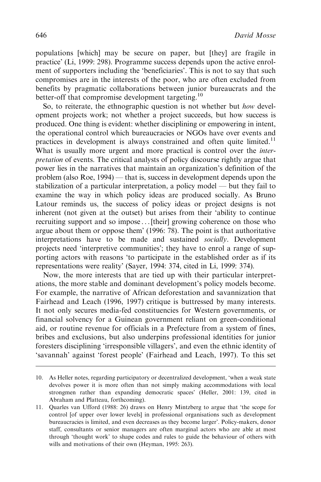populations [which] may be secure on paper, but [they] are fragile in practice' (Li, 1999: 298). Programme success depends upon the active enrolment of supporters including the 'beneficiaries'. This is not to say that such compromises are in the interests of the poor, who are often excluded from benefits by pragmatic collaborations between junior bureaucrats and the better-off that compromise development targeting.<sup>10</sup>

So, to reiterate, the ethnographic question is not whether but *how* development projects work; not whether a project succeeds, but how success is produced. One thing is evident: whether disciplining or empowering in intent, the operational control which bureaucracies or NGOs have over events and practices in development is always constrained and often quite limited.<sup>11</sup> What is usually more urgent and more practical is control over the *inter*pretation of events. The critical analysts of policy discourse rightly argue that power lies in the narratives that maintain an organization's definition of the problem (also Roe, 1994) — that is, success in development depends upon the stabilization of a particular interpretation, a policy model — but they fail to examine the way in which policy ideas are produced socially. As Bruno Latour reminds us, the success of policy ideas or project designs is not inherent (not given at the outset) but arises from their 'ability to continue recruiting support and so impose . . . [their] growing coherence on those who argue about them or oppose them' (1996: 78). The point is that authoritative interpretations have to be made and sustained socially. Development projects need 'interpretive communities'; they have to enrol a range of supporting actors with reasons 'to participate in the established order as if its representations were reality' (Sayer, 1994: 374, cited in Li, 1999: 374).

Now, the more interests that are tied up with their particular interpretations, the more stable and dominant development's policy models become. For example, the narrative of African deforestation and savannization that Fairhead and Leach (1996, 1997) critique is buttressed by many interests. It not only secures media-fed constituencies for Western governments, or financial solvency for a Guinean government reliant on green-conditional aid, or routine revenue for officials in a Prefecture from a system of fines, bribes and exclusions, but also underpins professional identities for junior foresters disciplining 'irresponsible villagers', and even the ethnic identity of 'savannah' against 'forest people' (Fairhead and Leach, 1997). To this set

<sup>10.</sup> As Heller notes, regarding participatory or decentralized development, 'when a weak state devolves power it is more often than not simply making accommodations with local strongmen rather than expanding democratic spaces' (Heller, 2001: 139, cited in Abraham and Platteau, forthcoming).

<sup>11.</sup> Quarles van Ufford (1988: 26) draws on Henry Mintzberg to argue that 'the scope for control [of upper over lower levels] in professional organisations such as development bureaucracies is limited, and even decreases as they become larger'. Policy-makers, donor staff, consultants or senior managers are often marginal actors who are able at most through 'thought work' to shape codes and rules to guide the behaviour of others with wills and motivations of their own (Heyman, 1995: 263).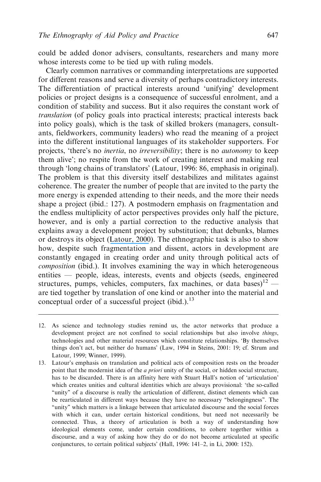could be added donor advisers, consultants, researchers and many more whose interests come to be tied up with ruling models.

Clearly common narratives or commanding interpretations are supported for different reasons and serve a diversity of perhaps contradictory interests. The differentiation of practical interests around 'unifying' development policies or project designs is a consequence of successful enrolment, and a condition of stability and success. But it also requires the constant work of translation (of policy goals into practical interests; practical interests back into policy goals), which is the task of skilled brokers (managers, consultants, fieldworkers, community leaders) who read the meaning of a project into the different institutional languages of its stakeholder supporters. For projects, 'there's no *inertia*, no *irreversibility*; there is no *autonomy* to keep them alive'; no respite from the work of creating interest and making real through 'long chains of translators' (Latour, 1996: 86, emphasis in original). The problem is that this diversity itself destabilizes and militates against coherence. The greater the number of people that are invited to the party the more energy is expended attending to their needs, and the more their needs shape a project (ibid.: 127). A postmodern emphasis on fragmentation and the endless multiplicity of actor perspectives provides only half the picture, however, and is only a partial correction to the reductive analysis that explains away a development project by substitution; that debunks, blames or destroys its object ([Latour, 2000](https://www.researchgate.net/publication/239064268_When_Things_Strike_Back_A_Possible_Contribution_of_Science_Studies?el=1_x_8&enrichId=rgreq-76f13619c6ac3ce358b5a420cbad09cb-XXX&enrichSource=Y292ZXJQYWdlOzQ0ODM1MDAzO0FTOjI5NTIzNTY4MzkzMDExM0AxNDQ3NDAxMDgwNTk5)). The ethnographic task is also to show how, despite such fragmentation and dissent, actors in development are constantly engaged in creating order and unity through political acts of composition (ibid.). It involves examining the way in which heterogeneous entities — people, ideas, interests, events and objects (seeds, engineered structures, pumps, vehicles, computers, fax machines, or data bases)<sup>12</sup> are tied together by translation of one kind or another into the material and conceptual order of a successful project (ibid.).<sup>13</sup>

<sup>12.</sup> As science and technology studies remind us, the actor networks that produce a development project are not confined to social relationships but also involve things, technologies and other material resources which constitute relationships. 'By themselves things don't act, but neither do humans' (Law, 1994 in Steins, 2001: 19; cf. Strum and Latour, 1999; Winner, 1999).

<sup>13.</sup> Latour's emphasis on translation and political acts of composition rests on the broader point that the modernist idea of the *a priori* unity of the social, or hidden social structure, has to be discarded. There is an affinity here with Stuart Hall's notion of 'articulation' which creates unities and cultural identities which are always provisional: 'the so-called ''unity'' of a discourse is really the articulation of different, distinct elements which can be rearticulated in different ways because they have no necessary ''belongingness''. The ''unity'' which matters is a linkage between that articulated discourse and the social forces with which it can, under certain historical conditions, but need not necessarily be connected. Thus, a theory of articulation is both a way of understanding how ideological elements come, under certain conditions, to cohere together within a discourse, and a way of asking how they do or do not become articulated at specific conjunctures, to certain political subjects' (Hall, 1996: 141–2, in Li, 2000: 152).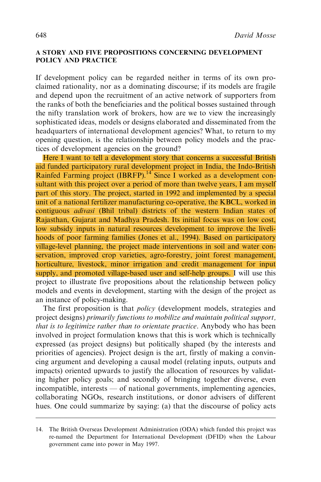#### A STORY AND FIVE PROPOSITIONS CONCERNING DEVELOPMENT POLICY AND PRACTICE

If development policy can be regarded neither in terms of its own proclaimed rationality, nor as a dominating discourse; if its models are fragile and depend upon the recruitment of an active network of supporters from the ranks of both the beneficiaries and the political bosses sustained through the nifty translation work of brokers, how are we to view the increasingly sophisticated ideas, models or designs elaborated and disseminated from the headquarters of international development agencies? What, to return to my opening question, is the relationship between policy models and the practices of development agencies on the ground?

Here I want to tell a development story that concerns a successful British aid funded participatory rural development project in India, the Indo-British Rainfed Farming project (IBRFP).<sup>14</sup> Since I worked as a development consultant with this project over a period of more than twelve years, I am myself part of this story. The project, started in 1992 and implemented by a special unit of a national fertilizer manufacturing co-operative, the KBCL, worked in contiguous adivasi (Bhil tribal) districts of the western Indian states of Rajasthan, Gujarat and Madhya Pradesh. Its initial focus was on low cost, low subsidy inputs in natural resources development to improve the livelihoods of poor farming families (Jones et al., 1994). Based on participatory village-level planning, the project made interventions in soil and water conservation, improved crop varieties, agro-forestry, joint forest management, horticulture, livestock, minor irrigation and credit management for input supply, and promoted village-based user and self-help groups. I will use this project to illustrate five propositions about the relationship between policy models and events in development, starting with the design of the project as an instance of policy-making.

The first proposition is that *policy* (development models, strategies and project designs) primarily functions to mobilize and maintain political support, that is to legitimize rather than to orientate practice. Anybody who has been involved in project formulation knows that this is work which is technically expressed (as project designs) but politically shaped (by the interests and priorities of agencies). Project design is the art, firstly of making a convincing argument and developing a causal model (relating inputs, outputs and impacts) oriented upwards to justify the allocation of resources by validating higher policy goals; and secondly of bringing together diverse, even incompatible, interests — of national governments, implementing agencies, collaborating NGOs, research institutions, or donor advisers of different hues. One could summarize by saying: (a) that the discourse of policy acts

<sup>14.</sup> The British Overseas Development Administration (ODA) which funded this project was re-named the Department for International Development (DFID) when the Labour government came into power in May 1997.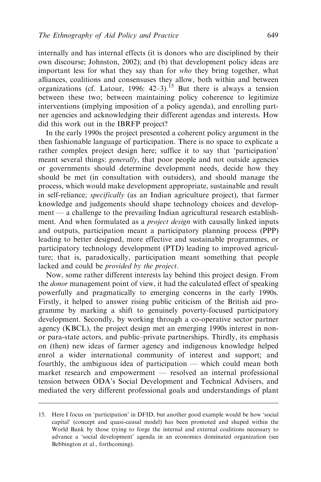internally and has internal effects (it is donors who are disciplined by their own discourse; Johnston, 2002); and (b) that development policy ideas are important less for what they say than for who they bring together, what alliances, coalitions and consensuses they allow, both within and between organizations (cf. Latour, 1996:  $42-3$ ).<sup>15</sup> But there is always a tension between these two; between maintaining policy coherence to legitimize interventions (implying imposition of a policy agenda), and enrolling partner agencies and acknowledging their different agendas and interests. How did this work out in the IBRFP project?

In the early 1990s the project presented a coherent policy argument in the then fashionable language of participation. There is no space to explicate a rather complex project design here; suffice it to say that 'participation' meant several things: *generally*, that poor people and not outside agencies or governments should determine development needs, decide how they should be met (in consultation with outsiders), and should manage the process, which would make development appropriate, sustainable and result in self-reliance; *specifically* (as an Indian agriculture project), that farmer knowledge and judgements should shape technology choices and development — a challenge to the prevailing Indian agricultural research establishment. And when formulated as a *project design* with causally linked inputs and outputs, participation meant a participatory planning process (PPP) leading to better designed, more effective and sustainable programmes, or participatory technology development (PTD) leading to improved agriculture; that is, paradoxically, participation meant something that people lacked and could be *provided by the project*.

Now, some rather different interests lay behind this project design. From the *donor* management point of view, it had the calculated effect of speaking powerfully and pragmatically to emerging concerns in the early 1990s. Firstly, it helped to answer rising public criticism of the British aid programme by marking a shift to genuinely poverty-focused participatory development. Secondly, by working through a co-operative sector partner agency (KBCL), the project design met an emerging 1990s interest in nonor para-state actors, and public–private partnerships. Thirdly, its emphasis on (then) new ideas of farmer agency and indigenous knowledge helped enrol a wider international community of interest and support; and fourthly, the ambiguous idea of participation — which could mean both market research and empowerment — resolved an internal professional tension between ODA's Social Development and Technical Advisers, and mediated the very different professional goals and understandings of plant

<sup>15.</sup> Here I focus on 'participation' in DFID, but another good example would be how 'social capital' (concept and quasi-causal model) has been promoted and shaped within the World Bank by those trying to forge the internal and external coalitions necessary to advance a 'social development' agenda in an economics dominated organization (see Bebbington et al., forthcoming).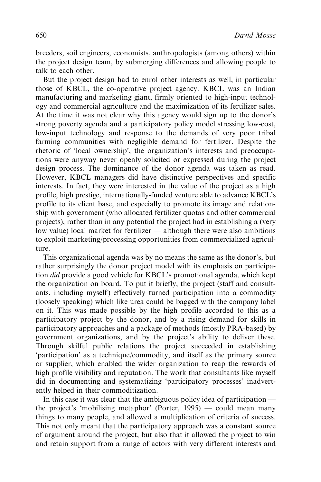breeders, soil engineers, economists, anthropologists (among others) within the project design team, by submerging differences and allowing people to talk to each other.

But the project design had to enrol other interests as well, in particular those of KBCL, the co-operative project agency. KBCL was an Indian manufacturing and marketing giant, firmly oriented to high-input technology and commercial agriculture and the maximization of its fertilizer sales. At the time it was not clear why this agency would sign up to the donor's strong poverty agenda and a participatory policy model stressing low-cost, low-input technology and response to the demands of very poor tribal farming communities with negligible demand for fertilizer. Despite the rhetoric of 'local ownership', the organization's interests and preoccupations were anyway never openly solicited or expressed during the project design process. The dominance of the donor agenda was taken as read. However, KBCL managers did have distinctive perspectives and specific interests. In fact, they were interested in the value of the project as a high profile, high prestige, internationally-funded venture able to advance KBCL's profile to its client base, and especially to promote its image and relationship with government (who allocated fertilizer quotas and other commercial projects), rather than in any potential the project had in establishing a (very low value) local market for fertilizer — although there were also ambitions to exploit marketing/processing opportunities from commercialized agriculture.

This organizational agenda was by no means the same as the donor's, but rather surprisingly the donor project model with its emphasis on participation did provide a good vehicle for KBCL's promotional agenda, which kept the organization on board. To put it briefly, the project (staff and consultants, including myself) effectively turned participation into a commodity (loosely speaking) which like urea could be bagged with the company label on it. This was made possible by the high profile accorded to this as a participatory project by the donor, and by a rising demand for skills in participatory approaches and a package of methods (mostly PRA-based) by government organizations, and by the project's ability to deliver these. Through skilful public relations the project succeeded in establishing 'participation' as a technique/commodity, and itself as the primary source or supplier, which enabled the wider organization to reap the rewards of high profile visibility and reputation. The work that consultants like myself did in documenting and systematizing 'participatory processes' inadvertently helped in their commoditization.

In this case it was clear that the ambiguous policy idea of participation the project's 'mobilising metaphor' (Porter, 1995) — could mean many things to many people, and allowed a multiplication of criteria of success. This not only meant that the participatory approach was a constant source of argument around the project, but also that it allowed the project to win and retain support from a range of actors with very different interests and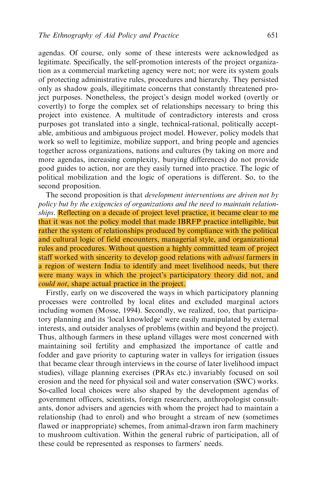agendas. Of course, only some of these interests were acknowledged as legitimate. Specifically, the self-promotion interests of the project organization as a commercial marketing agency were not; nor were its system goals of protecting administrative rules, procedures and hierarchy. They persisted only as shadow goals, illegitimate concerns that constantly threatened project purposes. Nonetheless, the project's design model worked (overtly or covertly) to forge the complex set of relationships necessary to bring this project into existence. A multitude of contradictory interests and cross purposes got translated into a single, technical-rational, politically acceptable, ambitious and ambiguous project model. However, policy models that work so well to legitimize, mobilize support, and bring people and agencies together across organizations, nations and cultures (by taking on more and more agendas, increasing complexity, burying differences) do not provide good guides to action, nor are they easily turned into practice. The logic of political mobilization and the logic of operations is different. So, to the second proposition.

The second proposition is that *development interventions are driven not by* policy but by the exigencies of organizations and the need to maintain relationships. Reflecting on a decade of project level practice, it became clear to me that it was not the policy model that made IBRFP practice intelligible, but rather the system of relationships produced by compliance with the political and cultural logic of field encounters, managerial style, and organizational rules and procedures. Without question a highly committed team of project staff worked with sincerity to develop good relations with *adivasi* farmers in a region of western India to identify and meet livelihood needs, but there were many ways in which the project's participatory theory did not, and could not, shape actual practice in the project.

Firstly, early on we discovered the ways in which participatory planning processes were controlled by local elites and excluded marginal actors including women (Mosse, 1994). Secondly, we realized, too, that participatory planning and its 'local knowledge' were easily manipulated by external interests, and outsider analyses of problems (within and beyond the project). Thus, although farmers in these upland villages were most concerned with maintaining soil fertility and emphasized the importance of cattle and fodder and gave priority to capturing water in valleys for irrigation (issues that became clear through interviews in the course of later livelihood impact studies), village planning exercises (PRAs etc.) invariably focused on soil erosion and the need for physical soil and water conservation (SWC) works. So-called local choices were also shaped by the development agendas of government officers, scientists, foreign researchers, anthropologist consultants, donor advisers and agencies with whom the project had to maintain a relationship (had to enrol) and who brought a stream of new (sometimes flawed or inappropriate) schemes, from animal-drawn iron farm machinery to mushroom cultivation. Within the general rubric of participation, all of these could be represented as responses to farmers' needs.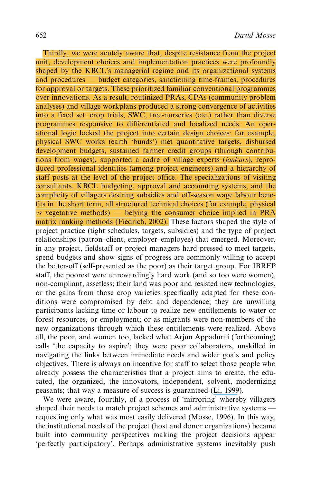Thirdly, we were acutely aware that, despite resistance from the project unit, development choices and implementation practices were profoundly shaped by the KBCL's managerial regime and its organizational systems and procedures — budget categories, sanctioning time-frames, procedures for approval or targets. These prioritized familiar conventional programmes over innovations. As a result, routinized PRAs, CPAs (community problem analyses) and village workplans produced a strong convergence of activities into a fixed set: crop trials, SWC, tree-nurseries (etc.) rather than diverse programmes responsive to differentiated and localized needs. An operational logic locked the project into certain design choices: for example, physical SWC works (earth 'bunds') met quantitative targets, disbursed development budgets, sustained farmer credit groups (through contributions from wages), supported a cadre of village experts (jankars), reproduced professional identities (among project engineers) and a hierarchy of staff posts at the level of the project office. The specializations of visiting consultants, KBCL budgeting, approval and accounting systems, and the complicity of villagers desiring subsidies and off-season wage labour benefits in the short term, all structured technical choices (for example, physical vs vegetative methods) — belying the consumer choice implied in PRA matrix ranking methods (Fiedrich, 2002). These factors shaped the style of project practice (tight schedules, targets, subsidies) and the type of project relationships (patron–client, employer–employee) that emerged. Moreover, in any project, fieldstaff or project managers hard pressed to meet targets, spend budgets and show signs of progress are commonly willing to accept the better-off (self-presented as the poor) as their target group. For IBRFP staff, the poorest were unrewardingly hard work (and so too were women), non-compliant, assetless; their land was poor and resisted new technologies, or the gains from those crop varieties specifically adapted for these conditions were compromised by debt and dependence; they are unwilling participants lacking time or labour to realize new entitlements to water or forest resources, or employment; or as migrants were non-members of the new organizations through which these entitlements were realized. Above all, the poor, and women too, lacked what Arjun Appadurai (forthcoming) calls 'the capacity to aspire'; they were poor collaborators, unskilled in navigating the links between immediate needs and wider goals and policy objectives. There is always an incentive for staff to select those people who already possess the characteristics that a project aims to create, the educated, the organized, the innovators, independent, solvent, modernizing peasants; that way a measure of success is guaranteed ([Li, 1999](https://www.researchgate.net/publication/249426038_Compromising_PowerDevelopmentCulture_and_Rule_in_Indonesia?el=1_x_8&enrichId=rgreq-76f13619c6ac3ce358b5a420cbad09cb-XXX&enrichSource=Y292ZXJQYWdlOzQ0ODM1MDAzO0FTOjI5NTIzNTY4MzkzMDExM0AxNDQ3NDAxMDgwNTk5)).

We were aware, fourthly, of a process of 'mirroring' whereby villagers shaped their needs to match project schemes and administrative systems requesting only what was most easily delivered (Mosse, 1996). In this way, the institutional needs of the project (host and donor organizations) became built into community perspectives making the project decisions appear 'perfectly participatory'. Perhaps administrative systems inevitably push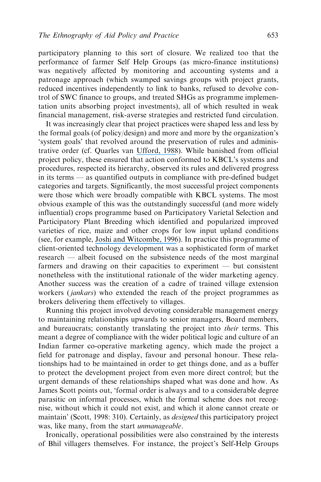participatory planning to this sort of closure. We realized too that the performance of farmer Self Help Groups (as micro-finance institutions) was negatively affected by monitoring and accounting systems and a patronage approach (which swamped savings groups with project grants, reduced incentives independently to link to banks, refused to devolve control of SWC finance to groups, and treated SHGs as programme implementation units absorbing project investments), all of which resulted in weak financial management, risk-averse strategies and restricted fund circulation.

It was increasingly clear that project practices were shaped less and less by the formal goals (of policy/design) and more and more by the organization's 'system goals' that revolved around the preservation of rules and administrative order (cf. Quarles van [Ufford, 1988](https://www.researchgate.net/publication/290842098_The_hidden_crisis_in_development_Development_bureaucracies_in_between_intentions_and_outcomes?el=1_x_8&enrichId=rgreq-76f13619c6ac3ce358b5a420cbad09cb-XXX&enrichSource=Y292ZXJQYWdlOzQ0ODM1MDAzO0FTOjI5NTIzNTY4MzkzMDExM0AxNDQ3NDAxMDgwNTk5)). While banished from official project policy, these ensured that action conformed to KBCL's systems and procedures, respected its hierarchy, observed its rules and delivered progress in its terms — as quantified outputs in compliance with pre-defined budget categories and targets. Significantly, the most successful project components were those which were broadly compatible with KBCL systems. The most obvious example of this was the outstandingly successful (and more widely influential) crops programme based on Participatory Varietal Selection and Participatory Plant Breeding which identified and popularized improved varieties of rice, maize and other crops for low input upland conditions (see, for example, [Joshi and Witcombe, 1996](https://www.researchgate.net/publication/231846829_Farmer_Participatory_Crop_Improvement_II_Participatory_Varietal_Selection_a_Case_Study_in_India?el=1_x_8&enrichId=rgreq-76f13619c6ac3ce358b5a420cbad09cb-XXX&enrichSource=Y292ZXJQYWdlOzQ0ODM1MDAzO0FTOjI5NTIzNTY4MzkzMDExM0AxNDQ3NDAxMDgwNTk5)). In practice this programme of client-oriented technology development was a sophisticated form of market research — albeit focused on the subsistence needs of the most marginal farmers and drawing on their capacities to experiment — but consistent nonetheless with the institutional rationale of the wider marketing agency. Another success was the creation of a cadre of trained village extension workers *(jankars)* who extended the reach of the project programmes as brokers delivering them effectively to villages.

Running this project involved devoting considerable management energy to maintaining relationships upwards to senior managers, Board members, and bureaucrats; constantly translating the project into *their* terms. This meant a degree of compliance with the wider political logic and culture of an Indian farmer co-operative marketing agency, which made the project a field for patronage and display, favour and personal honour. These relationships had to be maintained in order to get things done, and as a buffer to protect the development project from even more direct control; but the urgent demands of these relationships shaped what was done and how. As James Scott points out, 'formal order is always and to a considerable degree parasitic on informal processes, which the formal scheme does not recognise, without which it could not exist, and which it alone cannot create or maintain' (Scott, 1998: 310). Certainly, as *designed* this participatory project was, like many, from the start *unmanageable*.

Ironically, operational possibilities were also constrained by the interests of Bhil villagers themselves. For instance, the project's Self-Help Groups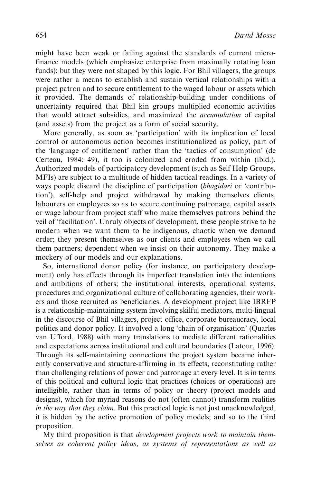might have been weak or failing against the standards of current microfinance models (which emphasize enterprise from maximally rotating loan funds); but they were not shaped by this logic. For Bhil villagers, the groups were rather a means to establish and sustain vertical relationships with a project patron and to secure entitlement to the waged labour or assets which it provided. The demands of relationship-building under conditions of uncertainty required that Bhil kin groups multiplied economic activities that would attract subsidies, and maximized the accumulation of capital (and assets) from the project as a form of social security.

More generally, as soon as 'participation' with its implication of local control or autonomous action becomes institutionalized as policy, part of the 'language of entitlement' rather than the 'tactics of consumption' (de Certeau, 1984: 49), it too is colonized and eroded from within (ibid.). Authorized models of participatory development (such as Self Help Groups, MFIs) are subject to a multitude of hidden tactical readings. In a variety of ways people discard the discipline of participation (bhagidari or 'contribution'), self-help and project withdrawal by making themselves clients, labourers or employees so as to secure continuing patronage, capital assets or wage labour from project staff who make themselves patrons behind the veil of 'facilitation'. Unruly objects of development, these people strive to be modern when we want them to be indigenous, chaotic when we demand order; they present themselves as our clients and employees when we call them partners; dependent when we insist on their autonomy. They make a mockery of our models and our explanations.

So, international donor policy (for instance, on participatory development) only has effects through its imperfect translation into the intentions and ambitions of others; the institutional interests, operational systems, procedures and organizational culture of collaborating agencies, their workers and those recruited as beneficiaries. A development project like IBRFP is a relationship-maintaining system involving skilful mediators, multi-lingual in the discourse of Bhil villagers, project office, corporate bureaucracy, local politics and donor policy. It involved a long 'chain of organisation' (Quarles van Ufford, 1988) with many translations to mediate different rationalities and expectations across institutional and cultural boundaries (Latour, 1996). Through its self-maintaining connections the project system became inherently conservative and structure-affirming in its effects, reconstituting rather than challenging relations of power and patronage at every level. It is in terms of this political and cultural logic that practices (choices or operations) are intelligible, rather than in terms of policy or theory (project models and designs), which for myriad reasons do not (often cannot) transform realities in the way that they claim. But this practical logic is not just unacknowledged, it is hidden by the active promotion of policy models; and so to the third proposition.

My third proposition is that development projects work to maintain themselves as coherent policy ideas, as systems of representations as well as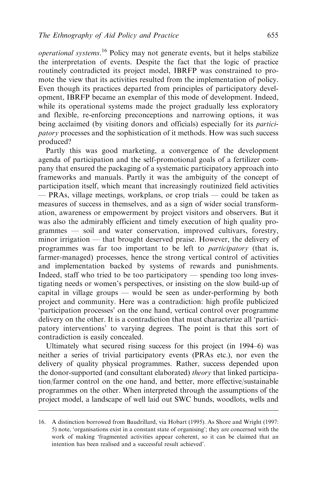operational systems.<sup>16</sup> Policy may not generate events, but it helps stabilize the interpretation of events. Despite the fact that the logic of practice routinely contradicted its project model, IBRFP was constrained to promote the view that its activities resulted from the implementation of policy. Even though its practices departed from principles of participatory development, IBRFP became an exemplar of this mode of development. Indeed, while its operational systems made the project gradually less exploratory and flexible, re-enforcing preconceptions and narrowing options, it was being acclaimed (by visiting donors and officials) especially for its *partici*patory processes and the sophistication of it methods. How was such success produced?

Partly this was good marketing, a convergence of the development agenda of participation and the self-promotional goals of a fertilizer company that ensured the packaging of a systematic participatory approach into frameworks and manuals. Partly it was the ambiguity of the concept of participation itself, which meant that increasingly routinized field activities — PRAs, village meetings, workplans, or crop trials — could be taken as measures of success in themselves, and as a sign of wider social transformation, awareness or empowerment by project visitors and observers. But it was also the admirably efficient and timely execution of high quality programmes — soil and water conservation, improved cultivars, forestry, minor irrigation — that brought deserved praise. However, the delivery of programmes was far too important to be left to *participatory* (that is, farmer-managed) processes, hence the strong vertical control of activities and implementation backed by systems of rewards and punishments. Indeed, staff who tried to be too participatory — spending too long investigating needs or women's perspectives, or insisting on the slow build-up of capital in village groups — would be seen as under-performing by both project and community. Here was a contradiction: high profile publicized 'participation processes' on the one hand, vertical control over programme delivery on the other. It is a contradiction that must characterize all 'participatory interventions' to varying degrees. The point is that this sort of contradiction is easily concealed.

Ultimately what secured rising success for this project (in 1994–6) was neither a series of trivial participatory events (PRAs etc.), nor even the delivery of quality physical programmes. Rather, success depended upon the donor-supported (and consultant elaborated) theory that linked participation/farmer control on the one hand, and better, more effective/sustainable programmes on the other. When interpreted through the assumptions of the project model, a landscape of well laid out SWC bunds, woodlots, wells and

<sup>16.</sup> A distinction borrowed from Baudrillard, via Hobart (1995). As Shore and Wright (1997: 5) note, 'organisations exist in a constant state of organising'; they are concerned with the work of making 'fragmented activities appear coherent, so it can be claimed that an intention has been realised and a successful result achieved'.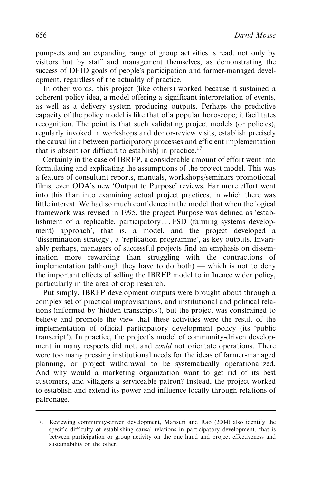pumpsets and an expanding range of group activities is read, not only by visitors but by staff and management themselves, as demonstrating the success of DFID goals of people's participation and farmer-managed development, regardless of the actuality of practice.

In other words, this project (like others) worked because it sustained a coherent policy idea, a model offering a significant interpretation of events, as well as a delivery system producing outputs. Perhaps the predictive capacity of the policy model is like that of a popular horoscope; it facilitates recognition. The point is that such validating project models (or policies), regularly invoked in workshops and donor-review visits, establish precisely the causal link between participatory processes and efficient implementation that is absent (or difficult to establish) in practice.<sup>17</sup>

Certainly in the case of IBRFP, a considerable amount of effort went into formulating and explicating the assumptions of the project model. This was a feature of consultant reports, manuals, workshops/seminars promotional films, even ODA's new 'Output to Purpose' reviews. Far more effort went into this than into examining actual project practices, in which there was little interest. We had so much confidence in the model that when the logical framework was revised in 1995, the project Purpose was defined as 'establishment of a replicable, participatory ... FSD (farming systems development) approach', that is, a model, and the project developed a 'dissemination strategy', a 'replication programme', as key outputs. Invariably perhaps, managers of successful projects find an emphasis on dissemination more rewarding than struggling with the contractions of implementation (although they have to do both) — which is not to deny the important effects of selling the IBRFP model to influence wider policy, particularly in the area of crop research.

Put simply, IBRFP development outputs were brought about through a complex set of practical improvisations, and institutional and political relations (informed by 'hidden transcripts'), but the project was constrained to believe and promote the view that these activities were the result of the implementation of official participatory development policy (its 'public transcript'). In practice, the project's model of community-driven development in many respects did not, and *could* not orientate operations. There were too many pressing institutional needs for the ideas of farmer-managed planning, or project withdrawal to be systematically operationalized. And why would a marketing organization want to get rid of its best customers, and villagers a serviceable patron? Instead, the project worked to establish and extend its power and influence locally through relations of patronage.

<sup>17.</sup> Reviewing community-driven development, [Mansuri and Rao \(2004\)](https://www.researchgate.net/publication/270589014_Community-Based_and_-Driven_Development_A_Critical_Review?el=1_x_8&enrichId=rgreq-76f13619c6ac3ce358b5a420cbad09cb-XXX&enrichSource=Y292ZXJQYWdlOzQ0ODM1MDAzO0FTOjI5NTIzNTY4MzkzMDExM0AxNDQ3NDAxMDgwNTk5) also identify the specific difficulty of establishing causal relations in participatory development, that is between participation or group activity on the one hand and project effectiveness and sustainability on the other.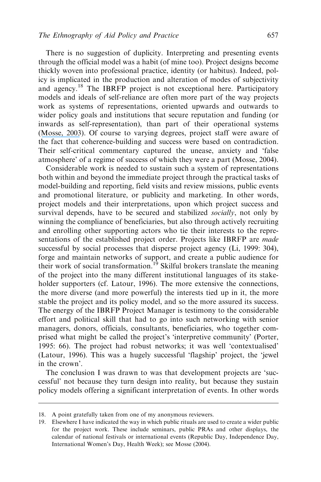There is no suggestion of duplicity. Interpreting and presenting events through the official model was a habit (of mine too). Project designs become thickly woven into professional practice, identity (or habitus). Indeed, policy is implicated in the production and alteration of modes of subjectivity and agency.<sup>18</sup> The IBRFP project is not exceptional here. Participatory models and ideals of self-reliance are often more part of the way projects work as systems of representations, oriented upwards and outwards to wider policy goals and institutions that secure reputation and funding (or inwards as self-representation), than part of their operational systems ([Mosse, 2003](https://www.researchgate.net/publication/283608154_The_making_and_marketing_of_participatory_development?el=1_x_8&enrichId=rgreq-76f13619c6ac3ce358b5a420cbad09cb-XXX&enrichSource=Y292ZXJQYWdlOzQ0ODM1MDAzO0FTOjI5NTIzNTY4MzkzMDExM0AxNDQ3NDAxMDgwNTk5)). Of course to varying degrees, project staff were aware of the fact that coherence-building and success were based on contradiction. Their self-critical commentary captured the unease, anxiety and 'false atmosphere' of a regime of success of which they were a part (Mosse, 2004).

Considerable work is needed to sustain such a system of representations both within and beyond the immediate project through the practical tasks of model-building and reporting, field visits and review missions, public events and promotional literature, or publicity and marketing. In other words, project models and their interpretations, upon which project success and survival depends, have to be secured and stabilized *socially*, not only by winning the compliance of beneficiaries, but also through actively recruiting and enrolling other supporting actors who tie their interests to the representations of the established project order. Projects like IBRFP are *made* successful by social processes that disperse project agency (Li, 1999: 304), forge and maintain networks of support, and create a public audience for their work of social transformation.<sup>19</sup> Skilful brokers translate the meaning of the project into the many different institutional languages of its stakeholder supporters (cf. Latour, 1996). The more extensive the connections, the more diverse (and more powerful) the interests tied up in it, the more stable the project and its policy model, and so the more assured its success. The energy of the IBRFP Project Manager is testimony to the considerable effort and political skill that had to go into such networking with senior managers, donors, officials, consultants, beneficiaries, who together comprised what might be called the project's 'interpretive community' (Porter, 1995: 66). The project had robust networks; it was well 'contextualised' (Latour, 1996). This was a hugely successful 'flagship' project, the 'jewel in the crown'.

The conclusion I was drawn to was that development projects are 'successful' not because they turn design into reality, but because they sustain policy models offering a significant interpretation of events. In other words

<sup>18.</sup> A point gratefully taken from one of my anonymous reviewers.

<sup>19.</sup> Elsewhere I have indicated the way in which public rituals are used to create a wider public for the project work. These include seminars, public PRAs and other displays, the calendar of national festivals or international events (Republic Day, Independence Day, International Women's Day, Health Week); see Mosse (2004).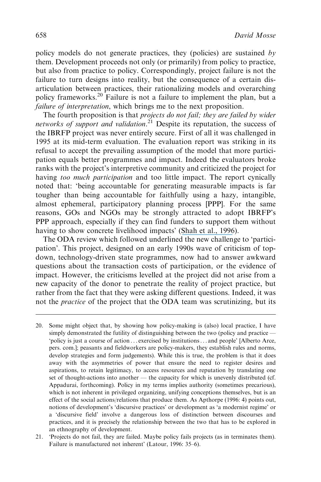policy models do not generate practices, they (policies) are sustained  $by$ them. Development proceeds not only (or primarily) from policy to practice, but also from practice to policy. Correspondingly, project failure is not the failure to turn designs into reality, but the consequence of a certain disarticulation between practices, their rationalizing models and overarching policy frameworks.<sup>20</sup> Failure is not a failure to implement the plan, but a failure of interpretation, which brings me to the next proposition.

The fourth proposition is that *projects do not fail*; they are failed by wider networks of support and validation.<sup>21</sup> Despite its reputation, the success of the IBRFP project was never entirely secure. First of all it was challenged in 1995 at its mid-term evaluation. The evaluation report was striking in its refusal to accept the prevailing assumption of the model that more participation equals better programmes and impact. Indeed the evaluators broke ranks with the project's interpretive community and criticized the project for having *too much participation* and too little impact. The report cynically noted that: 'being accountable for generating measurable impacts is far tougher than being accountable for faithfully using a hazy, intangible, almost ephemeral, participatory planning process [PPP]. For the same reasons, GOs and NGOs may be strongly attracted to adopt IBRFP's PPP approach, especially if they can find funders to support them without having to show concrete livelihood impacts' ([Shah et al., 1996](https://www.researchgate.net/publication/200507837_Seeing_Like_A_State_How_Certain_Schemes_to_Improve_the_Human_Condition_Have_Failed?el=1_x_8&enrichId=rgreq-76f13619c6ac3ce358b5a420cbad09cb-XXX&enrichSource=Y292ZXJQYWdlOzQ0ODM1MDAzO0FTOjI5NTIzNTY4MzkzMDExM0AxNDQ3NDAxMDgwNTk5)).

The ODA review which followed underlined the new challenge to 'participation'. This project, designed on an early 1990s wave of criticism of topdown, technology-driven state programmes, now had to answer awkward questions about the transaction costs of participation, or the evidence of impact. However, the criticisms levelled at the project did not arise from a new capacity of the donor to penetrate the reality of project practice, but rather from the fact that they were asking different questions. Indeed, it was not the practice of the project that the ODA team was scrutinizing, but its

21. 'Projects do not fail, they are failed. Maybe policy fails projects (as in terminates them). Failure is manufactured not inherent' (Latour, 1996: 35–6).

<sup>20.</sup> Some might object that, by showing how policy-making is (also) local practice, I have simply demonstrated the futility of distinguishing between the two (policy and practice — 'policy is just a course of action . . . exercised by institutions . . . and people' [Alberto Arce, pers. com.]; peasants and fieldworkers are policy-makers, they establish rules and norms, develop strategies and form judgements). While this is true, the problem is that it does away with the asymmetries of power that ensure the need to register desires and aspirations, to retain legitimacy, to access resources and reputation by translating one set of thought-actions into another — the capacity for which is unevenly distributed (cf. Appadurai, forthcoming). Policy in my terms implies authority (sometimes precarious), which is not inherent in privileged organizing, unifying conceptions themselves, but is an effect of the social actions/relations that produce them. As Apthorpe (1996: 4) points out, notions of development's 'discursive practices' or development as 'a modernist regime' or a 'discursive field' involve a dangerous loss of distinction between discourses and practices, and it is precisely the relationship between the two that has to be explored in an ethnography of development.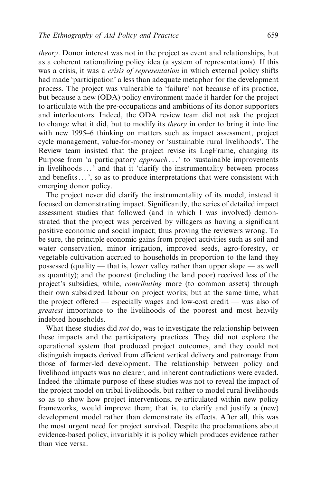theory. Donor interest was not in the project as event and relationships, but as a coherent rationalizing policy idea (a system of representations). If this was a crisis, it was a *crisis of representation* in which external policy shifts had made 'participation' a less than adequate metaphor for the development process. The project was vulnerable to 'failure' not because of its practice, but because a new (ODA) policy environment made it harder for the project to articulate with the pre-occupations and ambitions of its donor supporters and interlocutors. Indeed, the ODA review team did not ask the project to change what it did, but to modify its theory in order to bring it into line with new 1995–6 thinking on matters such as impact assessment, project cycle management, value-for-money or 'sustainable rural livelihoods'. The Review team insisted that the project revise its LogFrame, changing its Purpose from 'a participatory *approach* ...' to 'sustainable improvements in livelihoods. . . ' and that it 'clarify the instrumentality between process and benefits. . . ', so as to produce interpretations that were consistent with emerging donor policy.

The project never did clarify the instrumentality of its model, instead it focused on demonstrating impact. Significantly, the series of detailed impact assessment studies that followed (and in which I was involved) demonstrated that the project was perceived by villagers as having a significant positive economic and social impact; thus proving the reviewers wrong. To be sure, the principle economic gains from project activities such as soil and water conservation, minor irrigation, improved seeds, agro-forestry, or vegetable cultivation accrued to households in proportion to the land they possessed (quality — that is, lower valley rather than upper slope — as well as quantity); and the poorest (including the land poor) received less of the project's subsidies, while, *contributing* more (to common assets) through their own subsidized labour on project works; but at the same time, what the project offered — especially wages and low-cost credit — was also of greatest importance to the livelihoods of the poorest and most heavily indebted households.

What these studies did *not* do, was to investigate the relationship between these impacts and the participatory practices. They did not explore the operational system that produced project outcomes, and they could not distinguish impacts derived from efficient vertical delivery and patronage from those of farmer-led development. The relationship between policy and livelihood impacts was no clearer, and inherent contradictions were evaded. Indeed the ultimate purpose of these studies was not to reveal the impact of the project model on tribal livelihoods, but rather to model rural livelihoods so as to show how project interventions, re-articulated within new policy frameworks, would improve them; that is, to clarify and justify a (new) development model rather than demonstrate its effects. After all, this was the most urgent need for project survival. Despite the proclamations about evidence-based policy, invariably it is policy which produces evidence rather than vice versa.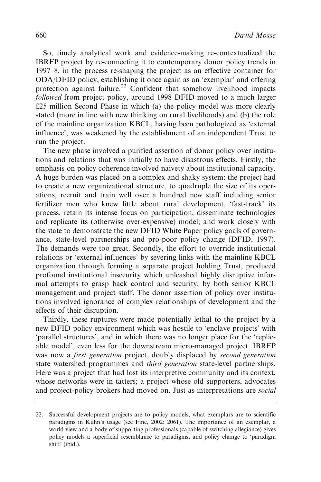So, timely analytical work and evidence-making re-contextualized the IBRFP project by re-connecting it to contemporary donor policy trends in 1997–8, in the process re-shaping the project as an effective container for ODA/DFID policy, establishing it once again as an 'exemplar' and offering protection against failure.<sup>22</sup> Confident that somehow livelihood impacts followed from project policy, around 1998 DFID moved to a much larger £25 million Second Phase in which (a) the policy model was more clearly stated (more in line with new thinking on rural livelihoods) and (b) the role of the mainline organization KBCL, having been pathologized as 'external influence', was weakened by the establishment of an independent Trust to run the project.

The new phase involved a purified assertion of donor policy over institutions and relations that was initially to have disastrous effects. Firstly, the emphasis on policy coherence involved naivety about institutional capacity. A huge burden was placed on a complex and shaky system: the project had to create a new organizational structure, to quadruple the size of its operations, recruit and train well over a hundred new staff including senior fertilizer men who knew little about rural development, 'fast-track' its process, retain its intense focus on participation, disseminate technologies and replicate its (otherwise over-expensive) model; and work closely with the state to demonstrate the new DFID White Paper policy goals of governance, state-level partnerships and pro-poor policy change (DFID, 1997). The demands were too great. Secondly, the effort to override institutional relations or 'external influences' by severing links with the mainline KBCL organization through forming a separate project holding Trust, produced profound institutional insecurity which unleashed highly disruptive informal attempts to grasp back control and security, by both senior KBCL management and project staff. The donor assertion of policy over institutions involved ignorance of complex relationships of development and the effects of their disruption.

Thirdly, these ruptures were made potentially lethal to the project by a new DFID policy environment which was hostile to 'enclave projects' with 'parallel structures', and in which there was no longer place for the 'replicable model', even less for the downstream micro-managed project. IBRFP was now a first generation project, doubly displaced by second generation state watershed programmes and third generation state-level partnerships. Here was a project that had lost its interpretive community and its context, whose networks were in tatters; a project whose old supporters, advocates and project-policy brokers had moved on. Just as interpretations are social

<sup>22.</sup> Successful development projects are to policy models, what exemplars are to scientific paradigms in Kuhn's usage (see Fine, 2002: 2061). The importance of an exemplar, a world view and a body of supporting professionals (capable of switching allegiance) gives policy models a superficial resemblance to paradigms, and policy change to 'paradigm shift' (ibid.).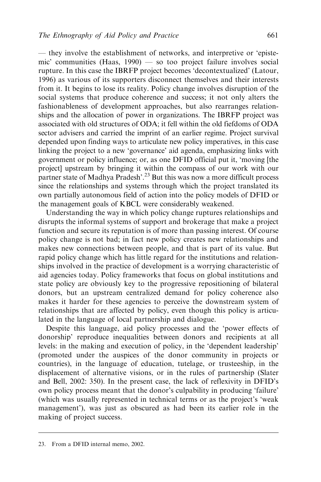— they involve the establishment of networks, and interpretive or 'epistemic' communities (Haas, 1990) — so too project failure involves social rupture. In this case the IBRFP project becomes 'decontextualized' (Latour, 1996) as various of its supporters disconnect themselves and their interests from it. It begins to lose its reality. Policy change involves disruption of the social systems that produce coherence and success; it not only alters the fashionableness of development approaches, but also rearranges relationships and the allocation of power in organizations. The IBRFP project was associated with old structures of ODA; it fell within the old fiefdoms of ODA sector advisers and carried the imprint of an earlier regime. Project survival depended upon finding ways to articulate new policy imperatives, in this case linking the project to a new 'governance' aid agenda, emphasizing links with government or policy influence; or, as one DFID official put it, 'moving [the project] upstream by bringing it within the compass of our work with our partner state of Madhya Pradesh'.<sup>23</sup> But this was now a more difficult process since the relationships and systems through which the project translated its own partially autonomous field of action into the policy models of DFID or the management goals of KBCL were considerably weakened.

Understanding the way in which policy change ruptures relationships and disrupts the informal systems of support and brokerage that make a project function and secure its reputation is of more than passing interest. Of course policy change is not bad; in fact new policy creates new relationships and makes new connections between people, and that is part of its value. But rapid policy change which has little regard for the institutions and relationships involved in the practice of development is a worrying characteristic of aid agencies today. Policy frameworks that focus on global institutions and state policy are obviously key to the progressive repositioning of bilateral donors, but an upstream centralized demand for policy coherence also makes it harder for these agencies to perceive the downstream system of relationships that are affected by policy, even though this policy is articulated in the language of local partnership and dialogue.

Despite this language, aid policy processes and the 'power effects of donorship' reproduce inequalities between donors and recipients at all levels: in the making and execution of policy, in the 'dependent leadership' (promoted under the auspices of the donor community in projects or countries), in the language of education, tutelage, or trusteeship, in the displacement of alternative visions, or in the rules of partnership (Slater and Bell, 2002: 350). In the present case, the lack of reflexivity in DFID's own policy process meant that the donor's culpability in producing 'failure' (which was usually represented in technical terms or as the project's 'weak management'), was just as obscured as had been its earlier role in the making of project success.

<sup>23.</sup> From a DFID internal memo, 2002.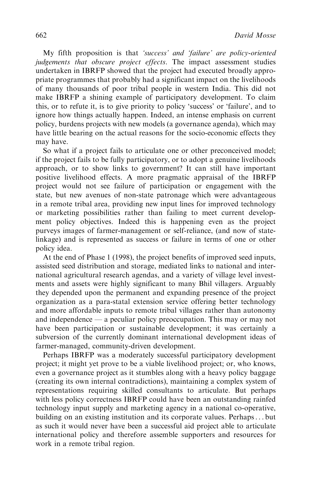My fifth proposition is that 'success' and 'failure' are policy-oriented judgements that obscure project effects. The impact assessment studies undertaken in IBRFP showed that the project had executed broadly appropriate programmes that probably had a significant impact on the livelihoods of many thousands of poor tribal people in western India. This did not make IBRFP a shining example of participatory development. To claim this, or to refute it, is to give priority to policy 'success' or 'failure', and to ignore how things actually happen. Indeed, an intense emphasis on current policy, burdens projects with new models (a governance agenda), which may have little bearing on the actual reasons for the socio-economic effects they may have.

So what if a project fails to articulate one or other preconceived model; if the project fails to be fully participatory, or to adopt a genuine livelihoods approach, or to show links to government? It can still have important positive livelihood effects. A more pragmatic appraisal of the IBRFP project would not see failure of participation or engagement with the state, but new avenues of non-state patronage which were advantageous in a remote tribal area, providing new input lines for improved technology or marketing possibilities rather than failing to meet current development policy objectives. Indeed this is happening even as the project purveys images of farmer-management or self-reliance, (and now of statelinkage) and is represented as success or failure in terms of one or other policy idea.

At the end of Phase 1 (1998), the project benefits of improved seed inputs, assisted seed distribution and storage, mediated links to national and international agricultural research agendas, and a variety of village level investments and assets were highly significant to many Bhil villagers. Arguably they depended upon the permanent and expanding presence of the project organization as a para-statal extension service offering better technology and more affordable inputs to remote tribal villages rather than autonomy and independence — a peculiar policy preoccupation. This may or may not have been participation or sustainable development; it was certainly a subversion of the currently dominant international development ideas of farmer-managed, community-driven development.

Perhaps IBRFP was a moderately successful participatory development project; it might yet prove to be a viable livelihood project; or, who knows, even a governance project as it stumbles along with a heavy policy baggage (creating its own internal contradictions), maintaining a complex system of representations requiring skilled consultants to articulate. But perhaps with less policy correctness IBRFP could have been an outstanding rainfed technology input supply and marketing agency in a national co-operative, building on an existing institution and its corporate values. Perhaps. . . but as such it would never have been a successful aid project able to articulate international policy and therefore assemble supporters and resources for work in a remote tribal region.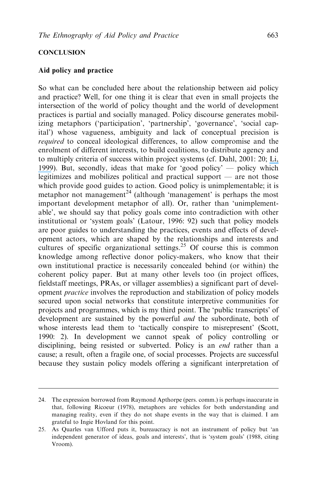#### **CONCLUSION**

#### Aid policy and practice

So what can be concluded here about the relationship between aid policy and practice? Well, for one thing it is clear that even in small projects the intersection of the world of policy thought and the world of development practices is partial and socially managed. Policy discourse generates mobilizing metaphors ('participation', 'partnership', 'governance', 'social capital') whose vagueness, ambiguity and lack of conceptual precision is required to conceal ideological differences, to allow compromise and the enrolment of different interests, to build coalitions, to distribute agency and to multiply criteria of success within project systems (cf. Dahl, 2001: 20; [Li,](https://www.researchgate.net/publication/249426038_Compromising_PowerDevelopmentCulture_and_Rule_in_Indonesia?el=1_x_8&enrichId=rgreq-76f13619c6ac3ce358b5a420cbad09cb-XXX&enrichSource=Y292ZXJQYWdlOzQ0ODM1MDAzO0FTOjI5NTIzNTY4MzkzMDExM0AxNDQ3NDAxMDgwNTk5) [1999](https://www.researchgate.net/publication/249426038_Compromising_PowerDevelopmentCulture_and_Rule_in_Indonesia?el=1_x_8&enrichId=rgreq-76f13619c6ac3ce358b5a420cbad09cb-XXX&enrichSource=Y292ZXJQYWdlOzQ0ODM1MDAzO0FTOjI5NTIzNTY4MzkzMDExM0AxNDQ3NDAxMDgwNTk5)). But, secondly, ideas that make for 'good policy' — policy which legitimizes and mobilizes political and practical support — are not those which provide good guides to action. Good policy is unimplementable; it is metaphor not management<sup>24</sup> (although 'management' is perhaps the most important development metaphor of all). Or, rather than 'unimplementable', we should say that policy goals come into contradiction with other institutional or 'system goals' (Latour, 1996: 92) such that policy models are poor guides to understanding the practices, events and effects of development actors, which are shaped by the relationships and interests and cultures of specific organizational settings.<sup>25</sup> Of course this is common knowledge among reflective donor policy-makers, who know that their own institutional practice is necessarily concealed behind (or within) the coherent policy paper. But at many other levels too (in project offices, fieldstaff meetings, PRAs, or villager assemblies) a significant part of development practice involves the reproduction and stabilization of policy models secured upon social networks that constitute interpretive communities for projects and programmes, which is my third point. The 'public transcripts' of development are sustained by the powerful *and* the subordinate, both of whose interests lead them to 'tactically conspire to misrepresent' (Scott, 1990: 2). In development we cannot speak of policy controlling or disciplining, being resisted or subverted. Policy is an *end* rather than a cause; a result, often a fragile one, of social processes. Projects are successful because they sustain policy models offering a significant interpretation of

<sup>24.</sup> The expression borrowed from Raymond Apthorpe (pers. comm.) is perhaps inaccurate in that, following Ricoeur (1978), metaphors are vehicles for both understanding and managing reality, even if they do not shape events in the way that is claimed. I am grateful to Ingie Hovland for this point.

<sup>25.</sup> As Quarles van Ufford puts it, bureaucracy is not an instrument of policy but 'an independent generator of ideas, goals and interests', that is 'system goals' (1988, citing Vroom).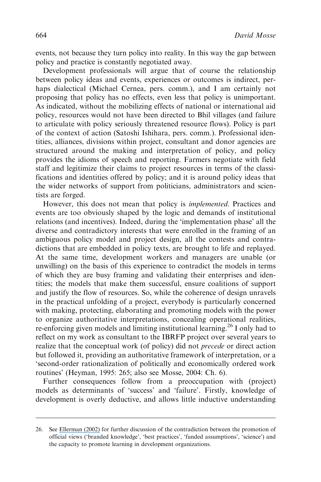events, not because they turn policy into reality. In this way the gap between policy and practice is constantly negotiated away.

Development professionals will argue that of course the relationship between policy ideas and events, experiences or outcomes is indirect, perhaps dialectical (Michael Cernea, pers. comm.), and I am certainly not proposing that policy has no effects, even less that policy is unimportant. As indicated, without the mobilizing effects of national or international aid policy, resources would not have been directed to Bhil villages (and failure to articulate with policy seriously threatened resource flows). Policy is part of the context of action (Satoshi Ishihara, pers. comm.). Professional identities, alliances, divisions within project, consultant and donor agencies are structured around the making and interpretation of policy, and policy provides the idioms of speech and reporting. Farmers negotiate with field staff and legitimize their claims to project resources in terms of the classifications and identities offered by policy; and it is around policy ideas that the wider networks of support from politicians, administrators and scientists are forged.

However, this does not mean that policy is implemented. Practices and events are too obviously shaped by the logic and demands of institutional relations (and incentives). Indeed, during the 'implementation phase' all the diverse and contradictory interests that were enrolled in the framing of an ambiguous policy model and project design, all the contests and contradictions that are embedded in policy texts, are brought to life and replayed. At the same time, development workers and managers are unable (or unwilling) on the basis of this experience to contradict the models in terms of which they are busy framing and validating their enterprises and identities; the models that make them successful, ensure coalitions of support and justify the flow of resources. So, while the coherence of design unravels in the practical unfolding of a project, everybody is particularly concerned with making, protecting, elaborating and promoting models with the power to organize authoritative interpretations, concealing operational realities, re-enforcing given models and limiting institutional learning.<sup>26</sup> I only had to reflect on my work as consultant to the IBRFP project over several years to realize that the conceptual work (of policy) did not precede or direct action but followed it, providing an authoritative framework of interpretation, or a 'second-order rationalization of politically and economically ordered work routines' (Heyman, 1995: 265; also see Mosse, 2004: Ch. 6).

Further consequences follow from a preoccupation with (project) models as determinants of 'success' and 'failure'. Firstly, knowledge of development is overly deductive, and allows little inductive understanding

<sup>26.</sup> See [Ellerman \(2002\)](https://www.researchgate.net/publication/228802539_Should_development_agencies_have_Official_Views?el=1_x_8&enrichId=rgreq-76f13619c6ac3ce358b5a420cbad09cb-XXX&enrichSource=Y292ZXJQYWdlOzQ0ODM1MDAzO0FTOjI5NTIzNTY4MzkzMDExM0AxNDQ3NDAxMDgwNTk5) for further discussion of the contradiction between the promotion of official views ('branded knowledge', 'best practices', 'funded assumptions', 'science') and the capacity to promote learning in development organizations.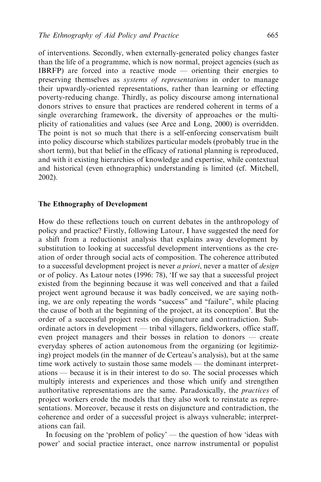of interventions. Secondly, when externally-generated policy changes faster than the life of a programme, which is now normal, project agencies (such as IBRFP) are forced into a reactive mode — orienting their energies to preserving themselves as *systems of representations* in order to manage their upwardly-oriented representations, rather than learning or effecting poverty-reducing change. Thirdly, as policy discourse among international donors strives to ensure that practices are rendered coherent in terms of a single overarching framework, the diversity of approaches or the multiplicity of rationalities and values (see Arce and Long, 2000) is overridden. The point is not so much that there is a self-enforcing conservatism built into policy discourse which stabilizes particular models (probably true in the short term), but that belief in the efficacy of rational planning is reproduced, and with it existing hierarchies of knowledge and expertise, while contextual and historical (even ethnographic) understanding is limited (cf. Mitchell, 2002).

#### The Ethnography of Development

How do these reflections touch on current debates in the anthropology of policy and practice? Firstly, following Latour, I have suggested the need for a shift from a reductionist analysis that explains away development by substitution to looking at successful development interventions as the creation of order through social acts of composition. The coherence attributed to a successful development project is never a priori, never a matter of design or of policy. As Latour notes (1996: 78), 'If we say that a successful project existed from the beginning because it was well conceived and that a failed project went aground because it was badly conceived, we are saying nothing, we are only repeating the words "success" and "failure", while placing the cause of both at the beginning of the project, at its conception'. But the order of a successful project rests on disjuncture and contradiction. Subordinate actors in development — tribal villagers, fieldworkers, office staff, even project managers and their bosses in relation to donors — create everyday spheres of action autonomous from the organizing (or legitimizing) project models (in the manner of de Certeau's analysis), but at the same time work actively to sustain those same models — the dominant interpretations — because it is in their interest to do so. The social processes which multiply interests and experiences and those which unify and strengthen authoritative representations are the same. Paradoxically, the practices of project workers erode the models that they also work to reinstate as representations. Moreover, because it rests on disjuncture and contradiction, the coherence and order of a successful project is always vulnerable; interpretations can fail.

In focusing on the 'problem of policy' — the question of how 'ideas with power' and social practice interact, once narrow instrumental or populist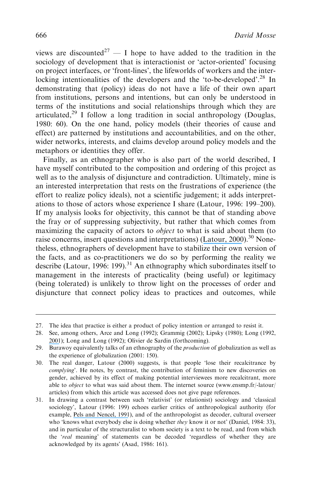views are discounted<sup>27</sup> — I hope to have added to the tradition in the sociology of development that is interactionist or 'actor-oriented' focusing on project interfaces, or 'front-lines', the lifeworlds of workers and the interlocking intentionalities of the developers and the 'to-be-developed'.<sup>28</sup> In demonstrating that (policy) ideas do not have a life of their own apart from institutions, persons and intentions, but can only be understood in terms of the institutions and social relationships through which they are articulated, $29$  I follow a long tradition in social anthropology (Douglas, 1980: 60). On the one hand, policy models (their theories of cause and effect) are patterned by institutions and accountabilities, and on the other, wider networks, interests, and claims develop around policy models and the metaphors or identities they offer.

Finally, as an ethnographer who is also part of the world described, I have myself contributed to the composition and ordering of this project as well as to the analysis of disjuncture and contradiction. Ultimately, mine is an interested interpretation that rests on the frustrations of experience (the effort to realize policy ideals), not a scientific judgement; it adds interpretations to those of actors whose experience I share (Latour, 1996: 199–200). If my analysis looks for objectivity, this cannot be that of standing above the fray or of suppressing subjectivity, but rather that which comes from maximizing the capacity of actors to object to what is said about them (to raise concerns, insert questions and interpretations) ([Latour, 2000](https://www.researchgate.net/publication/239064268_When_Things_Strike_Back_A_Possible_Contribution_of_Science_Studies?el=1_x_8&enrichId=rgreq-76f13619c6ac3ce358b5a420cbad09cb-XXX&enrichSource=Y292ZXJQYWdlOzQ0ODM1MDAzO0FTOjI5NTIzNTY4MzkzMDExM0AxNDQ3NDAxMDgwNTk5)).<sup>30</sup> Nonetheless, ethnographers of development have to stabilize their own version of the facts, and as co-practitioners we do so by performing the reality we describe (Latour, 1996: 199).<sup>31</sup> An ethnography which subordinates itself to management in the interests of practicality (being useful) or legitimacy (being tolerated) is unlikely to throw light on the processes of order and disjuncture that connect policy ideas to practices and outcomes, while

<sup>27.</sup> The idea that practice is either a product of policy intention or arranged to resist it.

<sup>28.</sup> See, among others, Arce and Long (1992); Grammig (2002); Lipsky (1980); Long (1992, [2001](https://www.researchgate.net/publication/40190899_Development_Sociology_Actor_Perspectives?el=1_x_8&enrichId=rgreq-76f13619c6ac3ce358b5a420cbad09cb-XXX&enrichSource=Y292ZXJQYWdlOzQ0ODM1MDAzO0FTOjI5NTIzNTY4MzkzMDExM0AxNDQ3NDAxMDgwNTk5)); Long and Long (1992); Olivier de Sardin (forthcoming).

<sup>29.</sup> Burawoy equivalently talks of an ethnography of the *production* of globalization as well as the experience of globalization (2001: 150).

<sup>30.</sup> The real danger, Latour (2000) suggests, is that people 'lose their recalcitrance by complying'. He notes, by contrast, the contribution of feminism to new discoveries on gender, achieved by its effect of making potential interviewees more recalcitrant, more able to *object* to what was said about them. The internet source (www.ensmp.fr/-latour/ articles) from which this article was accessed does not give page references.

<sup>31.</sup> In drawing a contrast between such 'relativist' (or relationist) sociology and 'classical sociology', Latour (1996: 199) echoes earlier critics of anthropological authority (for example, [Pels and Nencel, 1991](https://www.researchgate.net/publication/28641337_Introduction_Critique_and_the_Deconstruction_of_Anthropological_Authority?el=1_x_8&enrichId=rgreq-76f13619c6ac3ce358b5a420cbad09cb-XXX&enrichSource=Y292ZXJQYWdlOzQ0ODM1MDAzO0FTOjI5NTIzNTY4MzkzMDExM0AxNDQ3NDAxMDgwNTk5)), and of the anthropologist as decoder, cultural overseer who 'knows what everybody else is doing whether *they* know it or not' (Daniel, 1984: 33), and in particular of the structuralist to whom society is a text to be read, and from which the 'real meaning' of statements can be decoded 'regardless of whether they are acknowledged by its agents' (Asad, 1986: 161).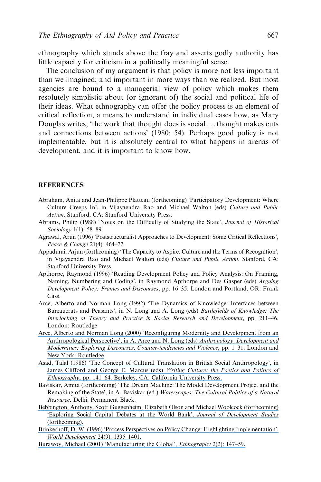ethnography which stands above the fray and asserts godly authority has little capacity for criticism in a politically meaningful sense.

The conclusion of my argument is that policy is more not less important than we imagined; and important in more ways than we realized. But most agencies are bound to a managerial view of policy which makes them resolutely simplistic about (or ignorant of) the social and political life of their ideas. What ethnography can offer the policy process is an element of critical reflection, a means to understand in individual cases how, as Mary Douglas writes, 'the work that thought does is social . . . thought makes cuts and connections between actions' (1980: 54). Perhaps good policy is not implementable, but it is absolutely central to what happens in arenas of development, and it is important to know how.

#### **REFERENCES**

- Abraham, Anita and Jean-Philippe Platteau (forthcoming) 'Participatory Development: Where Culture Creeps In', in Vijayaendra Rao and Michael Walton (eds) Culture and Public Action. Stanford, CA: Stanford University Press.
- Abrams, Philip (1988) 'Notes on the Difficulty of Studying the State', Journal of Historical Sociology 1(1): 58–89.
- Agrawal, Arun (1996) 'Poststructuralist Approaches to Development: Some Critical Reflections', Peace & Change 21(4): 464–77.
- Appadurai, Arjun (forthcoming) 'The Capacity to Aspire: Culture and the Terms of Recognition', in Vijayaendra Rao and Michael Walton (eds) Culture and Public Action. Stanford, CA: Stanford University Press.
- Apthorpe, Raymond (1996) 'Reading Development Policy and Policy Analysis: On Framing, Naming, Numbering and Coding', in Raymond Apthorpe and Des Gasper (eds) Arguing Development Policy: Frames and Discourses, pp. 16–35. London and Portland, OR: Frank Cass.
- Arce, Alberto and Norman Long (1992) 'The Dynamics of Knowledge: Interfaces between Bureaucrats and Peasants', in N. Long and A. Long (eds) Battlefields of Knowledge: The Interlocking of Theory and Practice in Social Research and Development, pp. 211–46. London: Routledge
- [Arce, Alberto and Norman Long \(2000\) 'Reconfiguring Modernity and Development from an](https://www.researchgate.net/publication/40195083_Reconfiguring_modernity_and_development_from_an_anthropological_perspective?el=1_x_8&enrichId=rgreq-76f13619c6ac3ce358b5a420cbad09cb-XXX&enrichSource=Y292ZXJQYWdlOzQ0ODM1MDAzO0FTOjI5NTIzNTY4MzkzMDExM0AxNDQ3NDAxMDgwNTk5) [Anthropological Perspective', in A. Arce and N. Long \(eds\)](https://www.researchgate.net/publication/40195083_Reconfiguring_modernity_and_development_from_an_anthropological_perspective?el=1_x_8&enrichId=rgreq-76f13619c6ac3ce358b5a420cbad09cb-XXX&enrichSource=Y292ZXJQYWdlOzQ0ODM1MDAzO0FTOjI5NTIzNTY4MzkzMDExM0AxNDQ3NDAxMDgwNTk5) Anthropology, Development and [Modernities: Exploring Discourses, Counter-tendencies and Violence](https://www.researchgate.net/publication/40195083_Reconfiguring_modernity_and_development_from_an_anthropological_perspective?el=1_x_8&enrichId=rgreq-76f13619c6ac3ce358b5a420cbad09cb-XXX&enrichSource=Y292ZXJQYWdlOzQ0ODM1MDAzO0FTOjI5NTIzNTY4MzkzMDExM0AxNDQ3NDAxMDgwNTk5), pp. 1–31. London and [New York: Routledge](https://www.researchgate.net/publication/40195083_Reconfiguring_modernity_and_development_from_an_anthropological_perspective?el=1_x_8&enrichId=rgreq-76f13619c6ac3ce358b5a420cbad09cb-XXX&enrichSource=Y292ZXJQYWdlOzQ0ODM1MDAzO0FTOjI5NTIzNTY4MzkzMDExM0AxNDQ3NDAxMDgwNTk5)
- [Asad, Talal \(1986\) 'The Concept of Cultural Translation in British Social Anthropology', in](https://www.researchgate.net/publication/282004749_The_Concept_of_Cultural_Translation_in_British_Social_Anthropology?el=1_x_8&enrichId=rgreq-76f13619c6ac3ce358b5a420cbad09cb-XXX&enrichSource=Y292ZXJQYWdlOzQ0ODM1MDAzO0FTOjI5NTIzNTY4MzkzMDExM0AxNDQ3NDAxMDgwNTk5) [James Clifford and George E. Marcus \(eds\)](https://www.researchgate.net/publication/282004749_The_Concept_of_Cultural_Translation_in_British_Social_Anthropology?el=1_x_8&enrichId=rgreq-76f13619c6ac3ce358b5a420cbad09cb-XXX&enrichSource=Y292ZXJQYWdlOzQ0ODM1MDAzO0FTOjI5NTIzNTY4MzkzMDExM0AxNDQ3NDAxMDgwNTk5) Writing Culture: the Poetics and Politics of Ethnography[, pp. 141–64. Berkeley, CA: California University Press.](https://www.researchgate.net/publication/282004749_The_Concept_of_Cultural_Translation_in_British_Social_Anthropology?el=1_x_8&enrichId=rgreq-76f13619c6ac3ce358b5a420cbad09cb-XXX&enrichSource=Y292ZXJQYWdlOzQ0ODM1MDAzO0FTOjI5NTIzNTY4MzkzMDExM0AxNDQ3NDAxMDgwNTk5)
- Baviskar, Amita (forthcoming) 'The Dream Machine: The Model Development Project and the Remaking of the State', in A. Baviskar (ed.) Waterscapes: The Cultural Politics of a Natural Resource. Delhi: Permanent Black.
- [Bebbington, Anthony, Scott Guggenheim, Elizabeth Olson and Michael Woolcock \(forthcoming\)](https://www.researchgate.net/publication/24084002_Exploring_Social_Capital_Debates_at_the_World_Bank?el=1_x_8&enrichId=rgreq-76f13619c6ac3ce358b5a420cbad09cb-XXX&enrichSource=Y292ZXJQYWdlOzQ0ODM1MDAzO0FTOjI5NTIzNTY4MzkzMDExM0AxNDQ3NDAxMDgwNTk5) ['Exploring Social Capital Debates at the World Bank',](https://www.researchgate.net/publication/24084002_Exploring_Social_Capital_Debates_at_the_World_Bank?el=1_x_8&enrichId=rgreq-76f13619c6ac3ce358b5a420cbad09cb-XXX&enrichSource=Y292ZXJQYWdlOzQ0ODM1MDAzO0FTOjI5NTIzNTY4MzkzMDExM0AxNDQ3NDAxMDgwNTk5) Journal of Development Studies [\(forthcoming\).](https://www.researchgate.net/publication/24084002_Exploring_Social_Capital_Debates_at_the_World_Bank?el=1_x_8&enrichId=rgreq-76f13619c6ac3ce358b5a420cbad09cb-XXX&enrichSource=Y292ZXJQYWdlOzQ0ODM1MDAzO0FTOjI5NTIzNTY4MzkzMDExM0AxNDQ3NDAxMDgwNTk5)
- [Brinkerhoff, D. W. \(1996\) 'Process Perspectives on Policy Change: Highlighting Implementation',](https://www.researchgate.net/publication/4979123_Process_perspectives_on_policy_change_Highlighting_implementation?el=1_x_8&enrichId=rgreq-76f13619c6ac3ce358b5a420cbad09cb-XXX&enrichSource=Y292ZXJQYWdlOzQ0ODM1MDAzO0FTOjI5NTIzNTY4MzkzMDExM0AxNDQ3NDAxMDgwNTk5) [World Development](https://www.researchgate.net/publication/4979123_Process_perspectives_on_policy_change_Highlighting_implementation?el=1_x_8&enrichId=rgreq-76f13619c6ac3ce358b5a420cbad09cb-XXX&enrichSource=Y292ZXJQYWdlOzQ0ODM1MDAzO0FTOjI5NTIzNTY4MzkzMDExM0AxNDQ3NDAxMDgwNTk5) 24(9): 1395–1401.
- [Burawoy, Michael \(2001\) 'Manufacturing the Global',](https://www.researchgate.net/publication/249730268_Manufacturing_the_Global?el=1_x_8&enrichId=rgreq-76f13619c6ac3ce358b5a420cbad09cb-XXX&enrichSource=Y292ZXJQYWdlOzQ0ODM1MDAzO0FTOjI5NTIzNTY4MzkzMDExM0AxNDQ3NDAxMDgwNTk5) Ethnography 2(2): 147–59.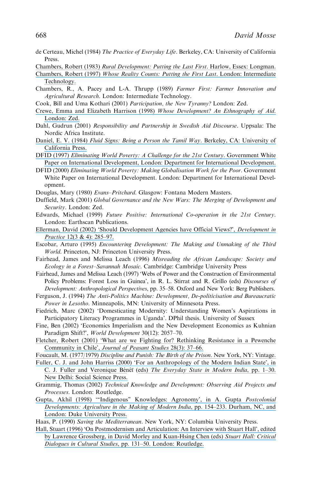- de Certeau, Michel (1984) The Practice of Everyday Life. Berkeley, CA: University of California Press.
- Chambers, Robert (1983) [Rural Development: Putting the Last First](https://www.researchgate.net/publication/44824480_Whose_Reality_Counts_Putting_First_Last?el=1_x_8&enrichId=rgreq-76f13619c6ac3ce358b5a420cbad09cb-XXX&enrichSource=Y292ZXJQYWdlOzQ0ODM1MDAzO0FTOjI5NTIzNTY4MzkzMDExM0AxNDQ3NDAxMDgwNTk5). Harlow, Essex: Longman.
- Chambers, Robert (1997) [Whose Reality Counts: Putting the First Last](https://www.researchgate.net/publication/44824480_Whose_Reality_Counts_Putting_First_Last?el=1_x_8&enrichId=rgreq-76f13619c6ac3ce358b5a420cbad09cb-XXX&enrichSource=Y292ZXJQYWdlOzQ0ODM1MDAzO0FTOjI5NTIzNTY4MzkzMDExM0AxNDQ3NDAxMDgwNTk5). London: Intermediate [Technology.](https://www.researchgate.net/publication/44824480_Whose_Reality_Counts_Putting_First_Last?el=1_x_8&enrichId=rgreq-76f13619c6ac3ce358b5a420cbad09cb-XXX&enrichSource=Y292ZXJQYWdlOzQ0ODM1MDAzO0FTOjI5NTIzNTY4MzkzMDExM0AxNDQ3NDAxMDgwNTk5)
- Chambers, R., A. Pacey and L-A. Thrupp (1989) Farmer First: Farmer Innovation and Agricultural Research. London: Intermediate Technology.
- Cook, Bill and Uma Kothari (2001) Participation, the New Tyranny? London: Zed.
- [Crewe, Emma and Elizabeth Harrison \(1998\)](https://www.researchgate.net/publication/44824135_Whose_Development_An_Ethnography_of_Aid?el=1_x_8&enrichId=rgreq-76f13619c6ac3ce358b5a420cbad09cb-XXX&enrichSource=Y292ZXJQYWdlOzQ0ODM1MDAzO0FTOjI5NTIzNTY4MzkzMDExM0AxNDQ3NDAxMDgwNTk5) Whose Development? An Ethnography of Aid. [London: Zed.](https://www.researchgate.net/publication/44824135_Whose_Development_An_Ethnography_of_Aid?el=1_x_8&enrichId=rgreq-76f13619c6ac3ce358b5a420cbad09cb-XXX&enrichSource=Y292ZXJQYWdlOzQ0ODM1MDAzO0FTOjI5NTIzNTY4MzkzMDExM0AxNDQ3NDAxMDgwNTk5)
- Dahl, Gudrun (2001) Responsibility and Partnership in Swedish Aid Discourse. Uppsala: The Nordic Africa Institute.
- Daniel, E. V. (1984) [Fluid Signs: Being a Person the Tamil Way](https://www.researchgate.net/publication/270361021_Fluid_Signs_Being_a_Person_the_Tamil_Way?el=1_x_8&enrichId=rgreq-76f13619c6ac3ce358b5a420cbad09cb-XXX&enrichSource=Y292ZXJQYWdlOzQ0ODM1MDAzO0FTOjI5NTIzNTY4MzkzMDExM0AxNDQ3NDAxMDgwNTk5). Berkeley, CA: University of [California Press.](https://www.researchgate.net/publication/270361021_Fluid_Signs_Being_a_Person_the_Tamil_Way?el=1_x_8&enrichId=rgreq-76f13619c6ac3ce358b5a420cbad09cb-XXX&enrichSource=Y292ZXJQYWdlOzQ0ODM1MDAzO0FTOjI5NTIzNTY4MzkzMDExM0AxNDQ3NDAxMDgwNTk5)
- DFID (1997) [Eliminating World Poverty: A Challenge for the 21st Century](https://www.researchgate.net/publication/44824610_The_Challenge_of_eliminating_world_poverty?el=1_x_8&enrichId=rgreq-76f13619c6ac3ce358b5a420cbad09cb-XXX&enrichSource=Y292ZXJQYWdlOzQ0ODM1MDAzO0FTOjI5NTIzNTY4MzkzMDExM0AxNDQ3NDAxMDgwNTk5). Government White [Paper on International Development, London: Department for International Development.](https://www.researchgate.net/publication/44824610_The_Challenge_of_eliminating_world_poverty?el=1_x_8&enrichId=rgreq-76f13619c6ac3ce358b5a420cbad09cb-XXX&enrichSource=Y292ZXJQYWdlOzQ0ODM1MDAzO0FTOjI5NTIzNTY4MzkzMDExM0AxNDQ3NDAxMDgwNTk5)
- DFID (2000) Eliminating World Poverty: Making Globalisation Work for the Poor. Government White Paper on International Development. London: Department for International Development.
- Douglas, Mary (1980) Evans–Pritchard. Glasgow: Fontana Modern Masters.
- Duffield, Mark (2001) Global Governance and the New Wars: The Merging of Development and Security. London: Zed.
- Edwards, Michael (1999) Future Positive: International Co-operation in the 21st Century. London: Earthscan Publications.
- [Ellerman, David \(2002\) 'Should Development Agencies have Official Views?',](https://www.researchgate.net/publication/228802539_Should_development_agencies_have_Official_Views?el=1_x_8&enrichId=rgreq-76f13619c6ac3ce358b5a420cbad09cb-XXX&enrichSource=Y292ZXJQYWdlOzQ0ODM1MDAzO0FTOjI5NTIzNTY4MzkzMDExM0AxNDQ3NDAxMDgwNTk5) Development in Practice [12\(3 & 4\): 285–97.](https://www.researchgate.net/publication/228802539_Should_development_agencies_have_Official_Views?el=1_x_8&enrichId=rgreq-76f13619c6ac3ce358b5a420cbad09cb-XXX&enrichSource=Y292ZXJQYWdlOzQ0ODM1MDAzO0FTOjI5NTIzNTY4MzkzMDExM0AxNDQ3NDAxMDgwNTk5)
- Escobar, Arturo (1995) Encountering Development: The Making and Unmaking of the Third World. Princeton, NJ: Princeton University Press.
- Fairhead, James and Melissa Leach (1996) Misreading the African Landscape: Society and Ecology in a Forest–Savannah Mosaic. Cambridge: Cambridge University Press
- Fairhead, James and Melissa Leach (1997) 'Webs of Power and the Construction of Environmental Policy Problems: Forest Loss in Guinea', in R. L. Stirrat and R. Grillo (eds) Discourses of Development: Anthropological Perspectives, pp. 35–58. Oxford and New York: Berg Publishers.
- Ferguson, J. (1994) The Anti-Politics Machine: Development, De-politicisation and Bureaucratic Power in Lesotho. Minneapolis, MN: University of Minnesota Press.
- Fiedrich, Marc (2002) 'Domesticating Modernity: Understanding Women's Aspirations in Participatory Literacy Programmes in Uganda'. DPhil thesis. University of Sussex
- Fine, Ben (2002) 'Economics Imperialism and the New Development Economics as Kuhnian Paradigm Shift?', World Development 30(12): 2057–70.
- [Fletcher, Robert \(2001\) 'What are we Fighting for? Rethinking Resistance in a Pewenche](https://www.researchgate.net/publication/233278535_What_Are_We_Fighting_For_Rethinking_Resistance_in_a_Pewenche_Community_in_Chile?el=1_x_8&enrichId=rgreq-76f13619c6ac3ce358b5a420cbad09cb-XXX&enrichSource=Y292ZXJQYWdlOzQ0ODM1MDAzO0FTOjI5NTIzNTY4MzkzMDExM0AxNDQ3NDAxMDgwNTk5) Community in Chile', [Journal of Peasant Studies](https://www.researchgate.net/publication/233278535_What_Are_We_Fighting_For_Rethinking_Resistance_in_a_Pewenche_Community_in_Chile?el=1_x_8&enrichId=rgreq-76f13619c6ac3ce358b5a420cbad09cb-XXX&enrichSource=Y292ZXJQYWdlOzQ0ODM1MDAzO0FTOjI5NTIzNTY4MzkzMDExM0AxNDQ3NDAxMDgwNTk5) 28(3): 37–66.
- Foucault, M. (1977/1979) [Discipline and Punish: The Birth of the Prison](https://www.researchgate.net/publication/281562288_Discipline_and_Punish_The_Birth_of_Prison?el=1_x_8&enrichId=rgreq-76f13619c6ac3ce358b5a420cbad09cb-XXX&enrichSource=Y292ZXJQYWdlOzQ0ODM1MDAzO0FTOjI5NTIzNTY4MzkzMDExM0AxNDQ3NDAxMDgwNTk5). New York, NY: Vintage.
- [Fuller, C. J. and John Harriss \(2000\) 'For an Anthropology of the Modern Indian State', in](https://www.researchgate.net/publication/30529300_For_an_anthropology_of_the_modern_Indian_state?el=1_x_8&enrichId=rgreq-76f13619c6ac3ce358b5a420cbad09cb-XXX&enrichSource=Y292ZXJQYWdlOzQ0ODM1MDAzO0FTOjI5NTIzNTY4MzkzMDExM0AxNDQ3NDAxMDgwNTk5) C. J. Fuller and Veronique Bénéï (eds) [The Everyday State in Modern India](https://www.researchgate.net/publication/30529300_For_an_anthropology_of_the_modern_Indian_state?el=1_x_8&enrichId=rgreq-76f13619c6ac3ce358b5a420cbad09cb-XXX&enrichSource=Y292ZXJQYWdlOzQ0ODM1MDAzO0FTOjI5NTIzNTY4MzkzMDExM0AxNDQ3NDAxMDgwNTk5), pp. 1–30. [New Delhi: Social Science Press.](https://www.researchgate.net/publication/30529300_For_an_anthropology_of_the_modern_Indian_state?el=1_x_8&enrichId=rgreq-76f13619c6ac3ce358b5a420cbad09cb-XXX&enrichSource=Y292ZXJQYWdlOzQ0ODM1MDAzO0FTOjI5NTIzNTY4MzkzMDExM0AxNDQ3NDAxMDgwNTk5)
- Grammig, Thomas (2002) Technical Knowledge and Development: Observing Aid Projects and Processes. London: Routledge.
- [Gupta, Akhil \(1998\) '''Indigenous'' Knowledges: Agronomy', in A. Gupta](https://www.researchgate.net/publication/240592581_Post_Colonial_Developments_Agriculture_in_the_Making_of_Modern_India?el=1_x_8&enrichId=rgreq-76f13619c6ac3ce358b5a420cbad09cb-XXX&enrichSource=Y292ZXJQYWdlOzQ0ODM1MDAzO0FTOjI5NTIzNTY4MzkzMDExM0AxNDQ3NDAxMDgwNTk5) Postcolonial [Developments: Agriculture in the Making of Modern India](https://www.researchgate.net/publication/240592581_Post_Colonial_Developments_Agriculture_in_the_Making_of_Modern_India?el=1_x_8&enrichId=rgreq-76f13619c6ac3ce358b5a420cbad09cb-XXX&enrichSource=Y292ZXJQYWdlOzQ0ODM1MDAzO0FTOjI5NTIzNTY4MzkzMDExM0AxNDQ3NDAxMDgwNTk5), pp. 154–233. Durham, NC, and [London: Duke University Press.](https://www.researchgate.net/publication/240592581_Post_Colonial_Developments_Agriculture_in_the_Making_of_Modern_India?el=1_x_8&enrichId=rgreq-76f13619c6ac3ce358b5a420cbad09cb-XXX&enrichSource=Y292ZXJQYWdlOzQ0ODM1MDAzO0FTOjI5NTIzNTY4MzkzMDExM0AxNDQ3NDAxMDgwNTk5)
- Haas, P. (1990) Saving the Mediterranean. New York, NY: Columbia University Press.
- [Hall, Stuart \(1996\) 'On Postmodernism and Articulation: An Interview with Stuart Hall', edited](https://www.researchgate.net/publication/247015737_On_postmodernism_and_articulation_An_interview_with_Stuart_Hall?el=1_x_8&enrichId=rgreq-76f13619c6ac3ce358b5a420cbad09cb-XXX&enrichSource=Y292ZXJQYWdlOzQ0ODM1MDAzO0FTOjI5NTIzNTY4MzkzMDExM0AxNDQ3NDAxMDgwNTk5) [by Lawrence Grossberg, in David Morley and Kuan-Hsing Chen \(eds\)](https://www.researchgate.net/publication/247015737_On_postmodernism_and_articulation_An_interview_with_Stuart_Hall?el=1_x_8&enrichId=rgreq-76f13619c6ac3ce358b5a420cbad09cb-XXX&enrichSource=Y292ZXJQYWdlOzQ0ODM1MDAzO0FTOjI5NTIzNTY4MzkzMDExM0AxNDQ3NDAxMDgwNTk5) Stuart Hall: Critical Dialogues in Cultural Studies[, pp. 131–50. London: Routledge.](https://www.researchgate.net/publication/247015737_On_postmodernism_and_articulation_An_interview_with_Stuart_Hall?el=1_x_8&enrichId=rgreq-76f13619c6ac3ce358b5a420cbad09cb-XXX&enrichSource=Y292ZXJQYWdlOzQ0ODM1MDAzO0FTOjI5NTIzNTY4MzkzMDExM0AxNDQ3NDAxMDgwNTk5)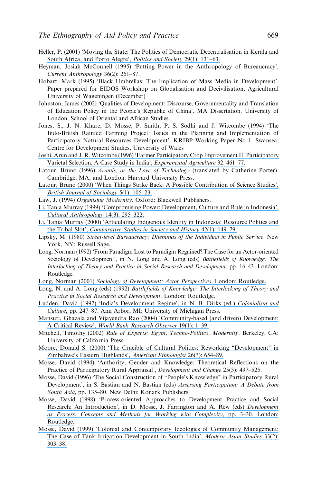- [Heller, P. \(2001\) 'Moving the State: The Politics of Democratic Decentralisation in Kerala and](https://www.researchgate.net/publication/236144401_Moving_the_State_The_Politics_of_Democratic_Decentralization_in_Kerala_South_Africa_and_Porto_Alegre?el=1_x_8&enrichId=rgreq-76f13619c6ac3ce358b5a420cbad09cb-XXX&enrichSource=Y292ZXJQYWdlOzQ0ODM1MDAzO0FTOjI5NTIzNTY4MzkzMDExM0AxNDQ3NDAxMDgwNTk5) [South Africa, and Porto Alegre',](https://www.researchgate.net/publication/236144401_Moving_the_State_The_Politics_of_Democratic_Decentralization_in_Kerala_South_Africa_and_Porto_Alegre?el=1_x_8&enrichId=rgreq-76f13619c6ac3ce358b5a420cbad09cb-XXX&enrichSource=Y292ZXJQYWdlOzQ0ODM1MDAzO0FTOjI5NTIzNTY4MzkzMDExM0AxNDQ3NDAxMDgwNTk5) Politics and Society 29(1): 131–63.
- Heyman, Josiah McConnell (1995) 'Putting Power in the Anthropology of Bureaucracy', Current Anthropology 36(2): 261–87.
- Hobart, Mark (1995) 'Black Umbrellas: The Implication of Mass Media in Development'. Paper prepared for EIDOS Workshop on Globalisation and Decivilisation, Agricultural University of Wageningen (December)
- Johnston, James (2002) 'Qualities of Development: Discourse, Governmentality and Translation of Education Policy in the People's Republic of China'. MA Dissertation. University of London, School of Oriental and African Studies.
- Jones, S., J. N. Khare, D. Mosse, P. Smith, P. S. Sodhi and J. Witcombe (1994) 'The Indo-British Rainfed Farming Project: Issues in the Planning and Implementation of Participatory Natural Resources Development'. KRIBP Working Paper No 1. Swansea: Centre for Development Studies, University of Wales
- [Joshi, Arun and J. R. Witcombe \(1996\) 'Farmer Participatory Crop Improvement II. Participatory](https://www.researchgate.net/publication/231846829_Farmer_Participatory_Crop_Improvement_II_Participatory_Varietal_Selection_a_Case_Study_in_India?el=1_x_8&enrichId=rgreq-76f13619c6ac3ce358b5a420cbad09cb-XXX&enrichSource=Y292ZXJQYWdlOzQ0ODM1MDAzO0FTOjI5NTIzNTY4MzkzMDExM0AxNDQ3NDAxMDgwNTk5) [Varietal Selection, A Case Study in India',](https://www.researchgate.net/publication/231846829_Farmer_Participatory_Crop_Improvement_II_Participatory_Varietal_Selection_a_Case_Study_in_India?el=1_x_8&enrichId=rgreq-76f13619c6ac3ce358b5a420cbad09cb-XXX&enrichSource=Y292ZXJQYWdlOzQ0ODM1MDAzO0FTOjI5NTIzNTY4MzkzMDExM0AxNDQ3NDAxMDgwNTk5) Experimental Agriculture 32: 461–77.
- Latour, Bruno (1996) Aramis, or the Love of Technology (translated by Catherine Porter). Cambridge, MA, and London: Harvard University Press.
- [Latour, Bruno \(2000\) 'When Things Strike Back: A Possible Contribution of Science Studies',](https://www.researchgate.net/publication/239064268_When_Things_Strike_Back_A_Possible_Contribution_of_Science_Studies?el=1_x_8&enrichId=rgreq-76f13619c6ac3ce358b5a420cbad09cb-XXX&enrichSource=Y292ZXJQYWdlOzQ0ODM1MDAzO0FTOjI5NTIzNTY4MzkzMDExM0AxNDQ3NDAxMDgwNTk5) [British Journal of Sociology](https://www.researchgate.net/publication/239064268_When_Things_Strike_Back_A_Possible_Contribution_of_Science_Studies?el=1_x_8&enrichId=rgreq-76f13619c6ac3ce358b5a420cbad09cb-XXX&enrichSource=Y292ZXJQYWdlOzQ0ODM1MDAzO0FTOjI5NTIzNTY4MzkzMDExM0AxNDQ3NDAxMDgwNTk5) 5(1): 105–23.
- Law, J. (1994) Organising Modernity. Oxford: Blackwell Publishers.
- [Li, Tania Murray \(1999\) 'Compromising Power: Development, Culture and Rule in Indonesia',](https://www.researchgate.net/publication/249426038_Compromising_PowerDevelopmentCulture_and_Rule_in_Indonesia?el=1_x_8&enrichId=rgreq-76f13619c6ac3ce358b5a420cbad09cb-XXX&enrichSource=Y292ZXJQYWdlOzQ0ODM1MDAzO0FTOjI5NTIzNTY4MzkzMDExM0AxNDQ3NDAxMDgwNTk5) [Cultural Anthropology](https://www.researchgate.net/publication/249426038_Compromising_PowerDevelopmentCulture_and_Rule_in_Indonesia?el=1_x_8&enrichId=rgreq-76f13619c6ac3ce358b5a420cbad09cb-XXX&enrichSource=Y292ZXJQYWdlOzQ0ODM1MDAzO0FTOjI5NTIzNTY4MzkzMDExM0AxNDQ3NDAxMDgwNTk5) 14(3): 295–322.
- [Li, Tania Murray \(2000\) 'Articulating Indigenous Identity in Indonesia: Resource Politics and](https://www.researchgate.net/publication/231961131_Articulating_Indigenous_Identity_in_Indonesia_Resource_Politics_and_the_Tribal_Slot?el=1_x_8&enrichId=rgreq-76f13619c6ac3ce358b5a420cbad09cb-XXX&enrichSource=Y292ZXJQYWdlOzQ0ODM1MDAzO0FTOjI5NTIzNTY4MzkzMDExM0AxNDQ3NDAxMDgwNTk5) the Tribal Slot', [Comparative Studies in Society and History](https://www.researchgate.net/publication/231961131_Articulating_Indigenous_Identity_in_Indonesia_Resource_Politics_and_the_Tribal_Slot?el=1_x_8&enrichId=rgreq-76f13619c6ac3ce358b5a420cbad09cb-XXX&enrichSource=Y292ZXJQYWdlOzQ0ODM1MDAzO0FTOjI5NTIzNTY4MzkzMDExM0AxNDQ3NDAxMDgwNTk5) 42(1): 149–79.
- Lipsky, M. (1980) Street-level Bureaucracy: Dilemmas of the Individual in Public Service. New York, NY: Russell Sage.
- Long, Norman (1992) 'From Paradigm Lost to Paradigm Regained? The Case for an Actor-oriented Sociology of Development', in N. Long and A. Long (eds) Battlefields of Knowledge: The Interlocking of Theory and Practice in Social Research and Development, pp. 16–43. London: Routledge.
- Long, Norman (2001) [Sociology of Development: Actor Perspectives](https://www.researchgate.net/publication/40190899_Development_Sociology_Actor_Perspectives?el=1_x_8&enrichId=rgreq-76f13619c6ac3ce358b5a420cbad09cb-XXX&enrichSource=Y292ZXJQYWdlOzQ0ODM1MDAzO0FTOjI5NTIzNTY4MzkzMDExM0AxNDQ3NDAxMDgwNTk5). London: Routledge.
- Long, N. and A. Long (eds) (1992) Battlefields of Knowledge: The Interlocking of Theory and Practice in Social Research and Development. London: Routledge.
- [Ludden, David \(1992\) 'India's Development Regime', in N. B. Dirks \(ed.\)](https://www.researchgate.net/publication/312913190_India) Colonialism and Culture[, pp. 247–87. Ann Arbor, MI: University of Michigan Press.](https://www.researchgate.net/publication/312913190_India)
- [Mansuri, Ghazala and Vijayendra Rao \(2004\) 'Community-based \(and driven\) Development:](https://www.researchgate.net/publication/270589014_Community-Based_and_-Driven_Development_A_Critical_Review?el=1_x_8&enrichId=rgreq-76f13619c6ac3ce358b5a420cbad09cb-XXX&enrichSource=Y292ZXJQYWdlOzQ0ODM1MDAzO0FTOjI5NTIzNTY4MzkzMDExM0AxNDQ3NDAxMDgwNTk5) A Critical Review', [World Bank Research Observer](https://www.researchgate.net/publication/270589014_Community-Based_and_-Driven_Development_A_Critical_Review?el=1_x_8&enrichId=rgreq-76f13619c6ac3ce358b5a420cbad09cb-XXX&enrichSource=Y292ZXJQYWdlOzQ0ODM1MDAzO0FTOjI5NTIzNTY4MzkzMDExM0AxNDQ3NDAxMDgwNTk5) 19(1): 1–39.
- Mitchell, Timothy (2002) Rule of Experts: Egypt, Techno-Politics, Modernity. Berkeley, CA: University of California Press.
- [Moore, Donald S. \(2000\) 'The Crucible of Cultural Politics: Reworking ''Development'' in](https://www.researchgate.net/publication/249425662_The_Crucible_of_Cultural_Politics_Reworking_Development_in_Zimbabwe) [Zimbabwe's Eastern Highlands',](https://www.researchgate.net/publication/249425662_The_Crucible_of_Cultural_Politics_Reworking_Development_in_Zimbabwe) American Ethnologist 26(3): 654–89.
- Mosse, David (1994) 'Authority, Gender and Knowledge: Theoretical Reflections on the Practice of Participatory Rural Appraisal', Development and Change 25(3): 497–525.
- Mosse, David (1996) 'The Social Construction of ''People's Knowledge'' in Participatory Rural Development', in S. Bastian and N. Bastian (eds) Assessing Participation: A Debate from South Asia, pp. 135–80. New Delhi: Konark Publishers.
- [Mosse, David \(1998\) 'Process-oriented Approaches to Development Practice and Social](https://www.researchgate.net/publication/248645614_Process_-_orientated_approaches_to_development_practice_and_social_research?el=1_x_8&enrichId=rgreq-76f13619c6ac3ce358b5a420cbad09cb-XXX&enrichSource=Y292ZXJQYWdlOzQ0ODM1MDAzO0FTOjI5NTIzNTY4MzkzMDExM0AxNDQ3NDAxMDgwNTk5) [Research: An Introduction', in D. Mosse, J. Farrington and A. Rew \(eds\)](https://www.researchgate.net/publication/248645614_Process_-_orientated_approaches_to_development_practice_and_social_research?el=1_x_8&enrichId=rgreq-76f13619c6ac3ce358b5a420cbad09cb-XXX&enrichSource=Y292ZXJQYWdlOzQ0ODM1MDAzO0FTOjI5NTIzNTY4MzkzMDExM0AxNDQ3NDAxMDgwNTk5) Development [as Process: Concepts and Methods for Working with Complexity](https://www.researchgate.net/publication/248645614_Process_-_orientated_approaches_to_development_practice_and_social_research?el=1_x_8&enrichId=rgreq-76f13619c6ac3ce358b5a420cbad09cb-XXX&enrichSource=Y292ZXJQYWdlOzQ0ODM1MDAzO0FTOjI5NTIzNTY4MzkzMDExM0AxNDQ3NDAxMDgwNTk5), pp. 3–30. London: [Routledge.](https://www.researchgate.net/publication/248645614_Process_-_orientated_approaches_to_development_practice_and_social_research?el=1_x_8&enrichId=rgreq-76f13619c6ac3ce358b5a420cbad09cb-XXX&enrichSource=Y292ZXJQYWdlOzQ0ODM1MDAzO0FTOjI5NTIzNTY4MzkzMDExM0AxNDQ3NDAxMDgwNTk5)
- [Mosse, David \(1999\) 'Colonial and Contemporary Ideologies of Community Management:](https://www.researchgate.net/publication/51744108_Colonial_and_Contemporary_Ideologies_of_) [The Case of Tank Irrigation Development in South India',](https://www.researchgate.net/publication/51744108_Colonial_and_Contemporary_Ideologies_of_) Modern Asian Studies 33(2): [303–38.](https://www.researchgate.net/publication/51744108_Colonial_and_Contemporary_Ideologies_of_)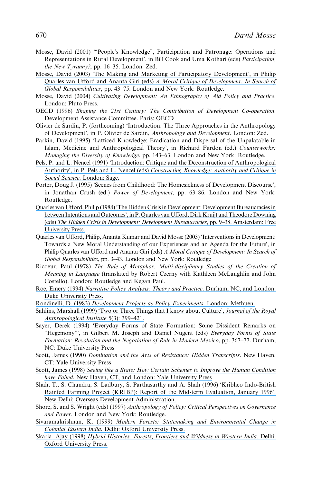- Mosse, David (2001) '''People's Knowledge'', Participation and Patronage: Operations and Representations in Rural Development', in Bill Cook and Uma Kothari (eds) Participation, the New Tyranny?, pp. 16–35. London: Zed.
- [Mosse, David \(2003\) 'The Making and Marketing of Participatory Development', in Philip](https://www.researchgate.net/publication/283608154_The_making_and_marketing_of_participatory_development?el=1_x_8&enrichId=rgreq-76f13619c6ac3ce358b5a420cbad09cb-XXX&enrichSource=Y292ZXJQYWdlOzQ0ODM1MDAzO0FTOjI5NTIzNTY4MzkzMDExM0AxNDQ3NDAxMDgwNTk5) Quarles van Ufford and Ananta Giri (eds) [A Moral Critique of Development: In Search of](https://www.researchgate.net/publication/283608154_The_making_and_marketing_of_participatory_development?el=1_x_8&enrichId=rgreq-76f13619c6ac3ce358b5a420cbad09cb-XXX&enrichSource=Y292ZXJQYWdlOzQ0ODM1MDAzO0FTOjI5NTIzNTY4MzkzMDExM0AxNDQ3NDAxMDgwNTk5) Global Responsibilities[, pp. 43–75. London and New York: Routledge.](https://www.researchgate.net/publication/283608154_The_making_and_marketing_of_participatory_development?el=1_x_8&enrichId=rgreq-76f13619c6ac3ce358b5a420cbad09cb-XXX&enrichSource=Y292ZXJQYWdlOzQ0ODM1MDAzO0FTOjI5NTIzNTY4MzkzMDExM0AxNDQ3NDAxMDgwNTk5)
- Mosse, David (2004) Cultivating Development: An Ethnography of Aid Policy and Practice. London: Pluto Press.
- OECD (1996) Shaping the 21st Century: The Contribution of Development Co-operation. Development Assistance Committee. Paris: OECD
- Olivier de Sardin, P. (forthcoming) 'Introduction: The Three Approaches in the Anthropology of Development', in P. Olivier de Sardin, Anthropology and Development. London: Zed.
- Parkin, David (1995) 'Latticed Knowledge: Eradication and Dispersal of the Unpalatable in Islam, Medicine and Anthropological Theory', in Richard Fardon (ed.) Counterworks: Managing the Diversity of Knowledge, pp. 143–63. London and New York: Routledge.
- [Pels, P. and L. Nencel \(1991\) 'Introduction: Critique and the Deconstruction of Anthropological](https://www.researchgate.net/publication/28641337_Introduction_Critique_and_the_Deconstruction_of_Anthropological_Authority?el=1_x_8&enrichId=rgreq-76f13619c6ac3ce358b5a420cbad09cb-XXX&enrichSource=Y292ZXJQYWdlOzQ0ODM1MDAzO0FTOjI5NTIzNTY4MzkzMDExM0AxNDQ3NDAxMDgwNTk5) Authority', in P. Pels and L. Nencel (eds) [Constructing Knowledge: Authority and Critique in](https://www.researchgate.net/publication/28641337_Introduction_Critique_and_the_Deconstruction_of_Anthropological_Authority?el=1_x_8&enrichId=rgreq-76f13619c6ac3ce358b5a420cbad09cb-XXX&enrichSource=Y292ZXJQYWdlOzQ0ODM1MDAzO0FTOjI5NTIzNTY4MzkzMDExM0AxNDQ3NDAxMDgwNTk5) Social Science[. London: Sage.](https://www.researchgate.net/publication/28641337_Introduction_Critique_and_the_Deconstruction_of_Anthropological_Authority?el=1_x_8&enrichId=rgreq-76f13619c6ac3ce358b5a420cbad09cb-XXX&enrichSource=Y292ZXJQYWdlOzQ0ODM1MDAzO0FTOjI5NTIzNTY4MzkzMDExM0AxNDQ3NDAxMDgwNTk5)
- Porter, Doug J. (1995) 'Scenes from Childhood: The Homesickness of Development Discourse', in Jonathan Crush (ed.) Power of Development, pp. 63–86. London and New York: Routledge.
- [Quarles van Ufford, Philip \(1988\)'The Hidden Crisis in Development: Development Bureaucracies in](https://www.researchgate.net/publication/290842098_The_hidden_crisis_in_development_Development_bureaucracies_in_between_intentions_and_outcomes?el=1_x_8&enrichId=rgreq-76f13619c6ac3ce358b5a420cbad09cb-XXX&enrichSource=Y292ZXJQYWdlOzQ0ODM1MDAzO0FTOjI5NTIzNTY4MzkzMDExM0AxNDQ3NDAxMDgwNTk5) [between Intentions and Outcomes', in P. Quarles van Ufford, Dirk Kruijt and Theodore Downing](https://www.researchgate.net/publication/290842098_The_hidden_crisis_in_development_Development_bureaucracies_in_between_intentions_and_outcomes?el=1_x_8&enrichId=rgreq-76f13619c6ac3ce358b5a420cbad09cb-XXX&enrichSource=Y292ZXJQYWdlOzQ0ODM1MDAzO0FTOjI5NTIzNTY4MzkzMDExM0AxNDQ3NDAxMDgwNTk5) (eds) [The Hidden Crisis in Development: Development Bureaucracies](https://www.researchgate.net/publication/290842098_The_hidden_crisis_in_development_Development_bureaucracies_in_between_intentions_and_outcomes?el=1_x_8&enrichId=rgreq-76f13619c6ac3ce358b5a420cbad09cb-XXX&enrichSource=Y292ZXJQYWdlOzQ0ODM1MDAzO0FTOjI5NTIzNTY4MzkzMDExM0AxNDQ3NDAxMDgwNTk5), pp. 9–38. Amsterdam: Free [University Press.](https://www.researchgate.net/publication/290842098_The_hidden_crisis_in_development_Development_bureaucracies_in_between_intentions_and_outcomes?el=1_x_8&enrichId=rgreq-76f13619c6ac3ce358b5a420cbad09cb-XXX&enrichSource=Y292ZXJQYWdlOzQ0ODM1MDAzO0FTOjI5NTIzNTY4MzkzMDExM0AxNDQ3NDAxMDgwNTk5)
- Quarles van Ufford, Philip, Ananta Kumar and David Mosse (2003) 'Interventions in Development: Towards a New Moral Understanding of our Experiences and an Agenda for the Future', in Philip Quarles van Ufford and Ananta Giri (eds) A Moral Critique of Development: In Search of Global Responsibilities, pp. 3–43. London and New York: Routledge
- Ricoeur, Paul (1978) The Rule of Metaphor: Multi-disciplinary Studies of the Creation of Meaning in Language (translated by Robert Czerny with Kathleen McLaughlin and John Costello). London: Routledge and Kegan Paul.
- Roe, Emery (1994) [Narrative Policy Analysis: Theory and Practice](https://www.researchgate.net/publication/246918850_Narrative_Policy_Analysis_Theory_a_nd_Practice?el=1_x_8&enrichId=rgreq-76f13619c6ac3ce358b5a420cbad09cb-XXX&enrichSource=Y292ZXJQYWdlOzQ0ODM1MDAzO0FTOjI5NTIzNTY4MzkzMDExM0AxNDQ3NDAxMDgwNTk5). Durham, NC, and London: [Duke University Press.](https://www.researchgate.net/publication/246918850_Narrative_Policy_Analysis_Theory_a_nd_Practice?el=1_x_8&enrichId=rgreq-76f13619c6ac3ce358b5a420cbad09cb-XXX&enrichSource=Y292ZXJQYWdlOzQ0ODM1MDAzO0FTOjI5NTIzNTY4MzkzMDExM0AxNDQ3NDAxMDgwNTk5)
- Rondinelli, D. (1983) [Development Projects as Policy Experiments](https://www.researchgate.net/publication/37906568_Development_Projects_as_Policy_Experiments_an_Adaptive_Approach_to_Development_Administration?el=1_x_8&enrichId=rgreq-76f13619c6ac3ce358b5a420cbad09cb-XXX&enrichSource=Y292ZXJQYWdlOzQ0ODM1MDAzO0FTOjI5NTIzNTY4MzkzMDExM0AxNDQ3NDAxMDgwNTk5). London: Methuen.
- [Sahlins, Marshall \(1999\) 'Two or Three Things that I know about Culture',](https://www.researchgate.net/publication/272588612_Two_or_Three_Things_That_I_Know_about_Culture?el=1_x_8&enrichId=rgreq-76f13619c6ac3ce358b5a420cbad09cb-XXX&enrichSource=Y292ZXJQYWdlOzQ0ODM1MDAzO0FTOjI5NTIzNTY4MzkzMDExM0AxNDQ3NDAxMDgwNTk5) Journal of the Royal [Anthropological Institute](https://www.researchgate.net/publication/272588612_Two_or_Three_Things_That_I_Know_about_Culture?el=1_x_8&enrichId=rgreq-76f13619c6ac3ce358b5a420cbad09cb-XXX&enrichSource=Y292ZXJQYWdlOzQ0ODM1MDAzO0FTOjI5NTIzNTY4MzkzMDExM0AxNDQ3NDAxMDgwNTk5) 5(3): 399–421.
- Sayer, Derek (1994) 'Everyday Forms of State Formation: Some Dissident Remarks on "Hegemony"', in Gilbert M. Joseph and Daniel Nugent (eds) Everyday Forms of State Formation: Revolution and the Negotiation of Rule in Modern Mexico, pp. 367–77. Durham, NC: Duke University Press
- Scott, James (1990) Domination and the Arts of Resistance: Hidden Transcripts. New Haven, CT: Yale University Press
- Scott, James (1998) [Seeing like a State: How Certain Schemes to Improve the Human Condition](https://www.researchgate.net/publication/200507837_Seeing_Like_A_State_How_Certain_Schemes_to_Improve_the_Human_Condition_Have_Failed?el=1_x_8&enrichId=rgreq-76f13619c6ac3ce358b5a420cbad09cb-XXX&enrichSource=Y292ZXJQYWdlOzQ0ODM1MDAzO0FTOjI5NTIzNTY4MzkzMDExM0AxNDQ3NDAxMDgwNTk5) have Failed[. New Haven, CT, and London: Yale University Press](https://www.researchgate.net/publication/200507837_Seeing_Like_A_State_How_Certain_Schemes_to_Improve_the_Human_Condition_Have_Failed?el=1_x_8&enrichId=rgreq-76f13619c6ac3ce358b5a420cbad09cb-XXX&enrichSource=Y292ZXJQYWdlOzQ0ODM1MDAzO0FTOjI5NTIzNTY4MzkzMDExM0AxNDQ3NDAxMDgwNTk5)
- [Shah, T., S. Chandra, S. Ladbury, S. Parthasarthy and A. Shah \(1996\) 'Kribhco Indo-British](https://www.researchgate.net/publication/200507837_Seeing_Like_A_State_How_Certain_Schemes_to_Improve_the_Human_Condition_Have_Failed?el=1_x_8&enrichId=rgreq-76f13619c6ac3ce358b5a420cbad09cb-XXX&enrichSource=Y292ZXJQYWdlOzQ0ODM1MDAzO0FTOjI5NTIzNTY4MzkzMDExM0AxNDQ3NDAxMDgwNTk5) [Rainfed Farming Project \(KRIBP\): Report of the Mid-term Evaluation, January 1996'.](https://www.researchgate.net/publication/200507837_Seeing_Like_A_State_How_Certain_Schemes_to_Improve_the_Human_Condition_Have_Failed?el=1_x_8&enrichId=rgreq-76f13619c6ac3ce358b5a420cbad09cb-XXX&enrichSource=Y292ZXJQYWdlOzQ0ODM1MDAzO0FTOjI5NTIzNTY4MzkzMDExM0AxNDQ3NDAxMDgwNTk5) [New Delhi: Overseas Development Administration.](https://www.researchgate.net/publication/200507837_Seeing_Like_A_State_How_Certain_Schemes_to_Improve_the_Human_Condition_Have_Failed?el=1_x_8&enrichId=rgreq-76f13619c6ac3ce358b5a420cbad09cb-XXX&enrichSource=Y292ZXJQYWdlOzQ0ODM1MDAzO0FTOjI5NTIzNTY4MzkzMDExM0AxNDQ3NDAxMDgwNTk5)
- Shore, S. and S. Wright (eds) (1997) Anthropology of Policy: Critical Perspectives on Governance and Power. London and New York: Routledge.
- Sivaramakrishnan, K. (1999) [Modern Forests: Statemaking and Environmental Change in](https://www.researchgate.net/publication/270588855_Modern_Forests_Statemaking_and_Environmental_Change_in_Colonial_Eastern_India?el=1_x_8&enrichId=rgreq-76f13619c6ac3ce358b5a420cbad09cb-XXX&enrichSource=Y292ZXJQYWdlOzQ0ODM1MDAzO0FTOjI5NTIzNTY4MzkzMDExM0AxNDQ3NDAxMDgwNTk5) Colonial Eastern India[. Delhi: Oxford University Press.](https://www.researchgate.net/publication/270588855_Modern_Forests_Statemaking_and_Environmental_Change_in_Colonial_Eastern_India?el=1_x_8&enrichId=rgreq-76f13619c6ac3ce358b5a420cbad09cb-XXX&enrichSource=Y292ZXJQYWdlOzQ0ODM1MDAzO0FTOjI5NTIzNTY4MzkzMDExM0AxNDQ3NDAxMDgwNTk5)
- Skaria, Ajay (1998) [Hybrid Histories: Forests, Frontiers and Wildness in Western India](https://www.researchgate.net/publication/249214912_Hybrid_Histories_Forests_Frontiers_and_Wildness_in_Western_India?el=1_x_8&enrichId=rgreq-76f13619c6ac3ce358b5a420cbad09cb-XXX&enrichSource=Y292ZXJQYWdlOzQ0ODM1MDAzO0FTOjI5NTIzNTY4MzkzMDExM0AxNDQ3NDAxMDgwNTk5). Delhi: [Oxford University Press.](https://www.researchgate.net/publication/249214912_Hybrid_Histories_Forests_Frontiers_and_Wildness_in_Western_India?el=1_x_8&enrichId=rgreq-76f13619c6ac3ce358b5a420cbad09cb-XXX&enrichSource=Y292ZXJQYWdlOzQ0ODM1MDAzO0FTOjI5NTIzNTY4MzkzMDExM0AxNDQ3NDAxMDgwNTk5)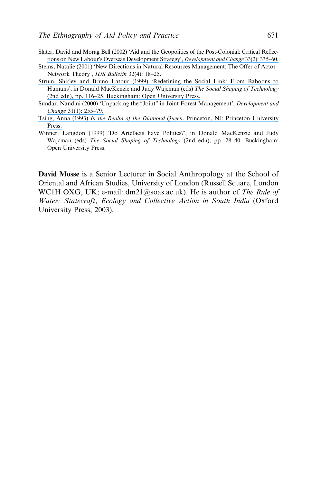- [Slater, David and Morag Bell \(2002\) 'Aid and the Geopolitics of the Post-Colonial: Critical Reflec](https://www.researchgate.net/publication/227679327_Aid_and_the_Geopolitics_of_the_Post-Colonial_Critical_Reflections_on_New_Labour)[tions on New Labour's Overseas Development Strategy',](https://www.researchgate.net/publication/227679327_Aid_and_the_Geopolitics_of_the_Post-Colonial_Critical_Reflections_on_New_Labour) Development and Change 33(2): 335–60.
- Steins, Natalie (2001) 'New Directions in Natural Resources Management: The Offer of Actor– Network Theory', IDS Bulletin 32(4): 18–25.
- [Strum, Shirley and Bruno Latour \(1999\) 'Redefining the Social Link: From Baboons to](https://www.researchgate.net/publication/247367682_Redefining_the_Social_Link_From_Baboons_to_Humans?el=1_x_8&enrichId=rgreq-76f13619c6ac3ce358b5a420cbad09cb-XXX&enrichSource=Y292ZXJQYWdlOzQ0ODM1MDAzO0FTOjI5NTIzNTY4MzkzMDExM0AxNDQ3NDAxMDgwNTk5) [Humans', in Donald MacKenzie and Judy Wajcman \(eds\)](https://www.researchgate.net/publication/247367682_Redefining_the_Social_Link_From_Baboons_to_Humans?el=1_x_8&enrichId=rgreq-76f13619c6ac3ce358b5a420cbad09cb-XXX&enrichSource=Y292ZXJQYWdlOzQ0ODM1MDAzO0FTOjI5NTIzNTY4MzkzMDExM0AxNDQ3NDAxMDgwNTk5) The Social Shaping of Technology [\(2nd edn\), pp. 116–25. Buckingham: Open University Press.](https://www.researchgate.net/publication/247367682_Redefining_the_Social_Link_From_Baboons_to_Humans?el=1_x_8&enrichId=rgreq-76f13619c6ac3ce358b5a420cbad09cb-XXX&enrichSource=Y292ZXJQYWdlOzQ0ODM1MDAzO0FTOjI5NTIzNTY4MzkzMDExM0AxNDQ3NDAxMDgwNTk5)
- Sundar, Nandini (2000) 'Unpacking the "Joint" in Joint Forest Management', *Development and* Change [31\(1\): 255–79.](https://www.researchgate.net/publication/229560312_Unpacking_the_)
- Tsing, Anna (1993) In the Realm of the Diamond Queen[. Princeton, NJ: Princeton University](https://www.researchgate.net/publication/282003885_In_the_Realm_of_the_Diamond_Queen?el=1_x_8&enrichId=rgreq-76f13619c6ac3ce358b5a420cbad09cb-XXX&enrichSource=Y292ZXJQYWdlOzQ0ODM1MDAzO0FTOjI5NTIzNTY4MzkzMDExM0AxNDQ3NDAxMDgwNTk5) [Press.](https://www.researchgate.net/publication/282003885_In_the_Realm_of_the_Diamond_Queen?el=1_x_8&enrichId=rgreq-76f13619c6ac3ce358b5a420cbad09cb-XXX&enrichSource=Y292ZXJQYWdlOzQ0ODM1MDAzO0FTOjI5NTIzNTY4MzkzMDExM0AxNDQ3NDAxMDgwNTk5)
- Winner, Langdon (1999) 'Do Artefacts have Politics?', in Donald MacKenzie and Judy Wajcman (eds) The Social Shaping of Technology (2nd edn), pp. 28–40. Buckingham: Open University Press.

David Mosse is a Senior Lecturer in Social Anthropology at the School of Oriental and African Studies, University of London (Russell Square, London WC1H OXG, UK; e-mail:  $dm21$  (asoas.ac.uk). He is author of *The Rule of* Water: Statecraft, Ecology and Collective Action in South India (Oxford University Press, 2003).